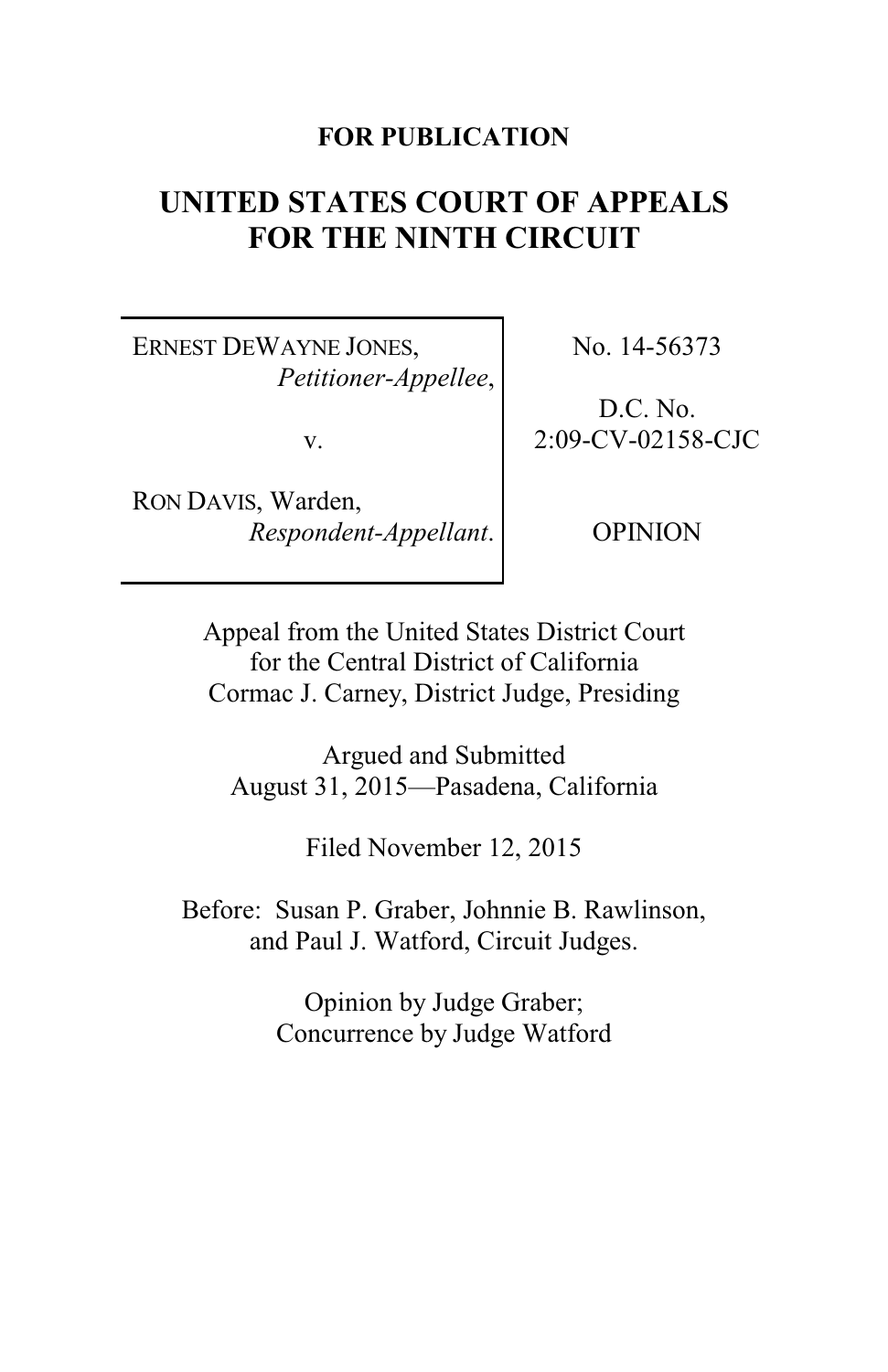## **FOR PUBLICATION**

# **UNITED STATES COURT OF APPEALS FOR THE NINTH CIRCUIT**

ERNEST DEWAYNE JONES, *Petitioner-Appellee*,

v.

RON DAVIS, Warden, *Respondent-Appellant*. No. 14-56373

D.C. No. 2:09-CV-02158-CJC

OPINION

Appeal from the United States District Court for the Central District of California Cormac J. Carney, District Judge, Presiding

Argued and Submitted August 31, 2015—Pasadena, California

Filed November 12, 2015

Before: Susan P. Graber, Johnnie B. Rawlinson, and Paul J. Watford, Circuit Judges.

> Opinion by Judge Graber; Concurrence by Judge Watford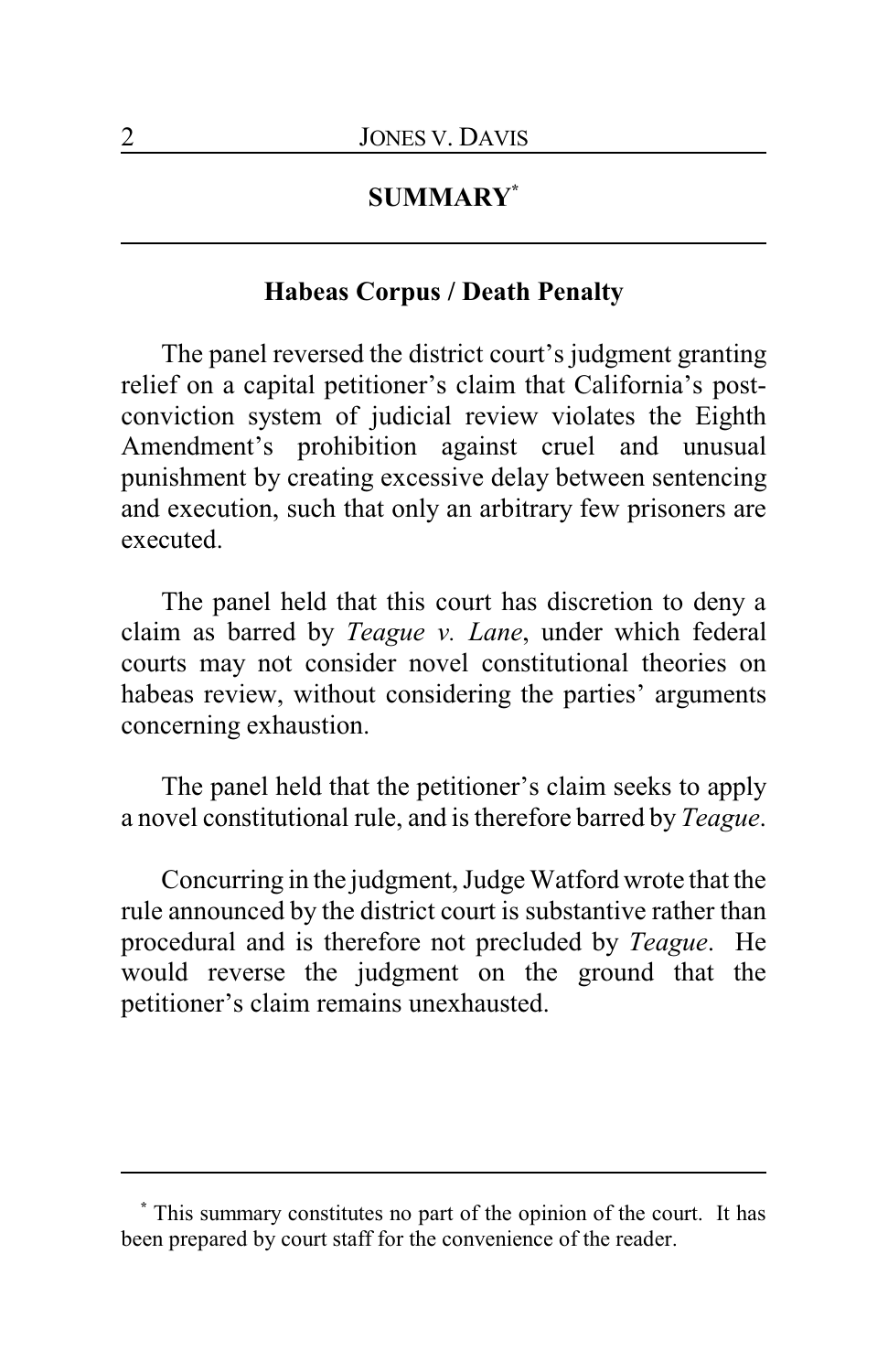## **SUMMARY\***

## **Habeas Corpus / Death Penalty**

The panel reversed the district court's judgment granting relief on a capital petitioner's claim that California's postconviction system of judicial review violates the Eighth Amendment's prohibition against cruel and unusual punishment by creating excessive delay between sentencing and execution, such that only an arbitrary few prisoners are executed.

The panel held that this court has discretion to deny a claim as barred by *Teague v. Lane*, under which federal courts may not consider novel constitutional theories on habeas review, without considering the parties' arguments concerning exhaustion.

The panel held that the petitioner's claim seeks to apply a novel constitutional rule, and is therefore barred by *Teague*.

Concurring in the judgment, Judge Watford wrote that the rule announced by the district court is substantive rather than procedural and is therefore not precluded by *Teague*. He would reverse the judgment on the ground that the petitioner's claim remains unexhausted.

**<sup>\*</sup>** This summary constitutes no part of the opinion of the court. It has been prepared by court staff for the convenience of the reader.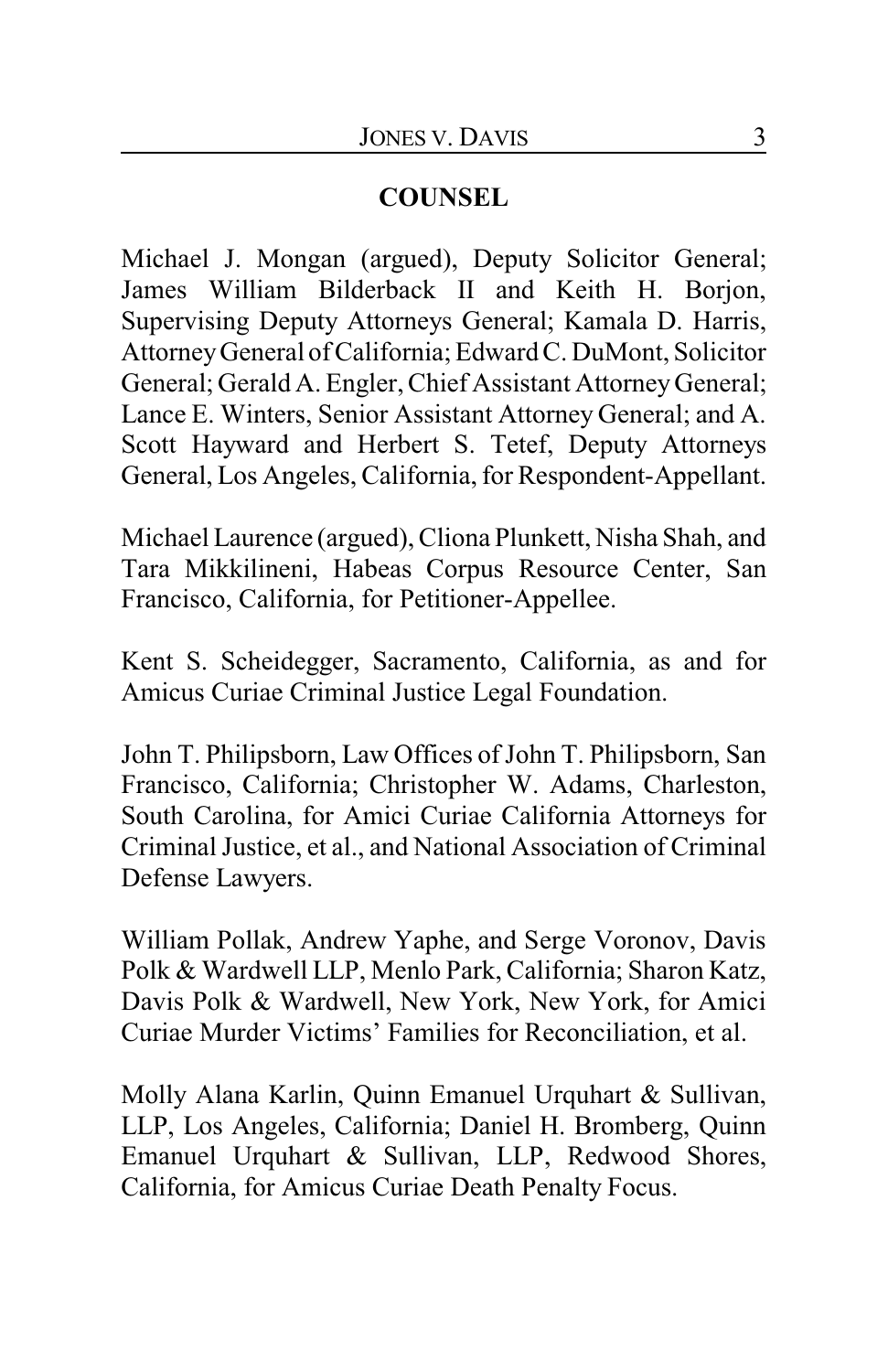## **COUNSEL**

Michael J. Mongan (argued), Deputy Solicitor General; James William Bilderback II and Keith H. Borjon, Supervising Deputy Attorneys General; Kamala D. Harris, AttorneyGeneral of California; Edward C. DuMont, Solicitor General; Gerald A. Engler, Chief Assistant Attorney General; Lance E. Winters, Senior Assistant Attorney General; and A. Scott Hayward and Herbert S. Tetef, Deputy Attorneys General, Los Angeles, California, for Respondent-Appellant.

Michael Laurence (argued), Cliona Plunkett, Nisha Shah, and Tara Mikkilineni, Habeas Corpus Resource Center, San Francisco, California, for Petitioner-Appellee.

Kent S. Scheidegger, Sacramento, California, as and for Amicus Curiae Criminal Justice Legal Foundation.

John T. Philipsborn, Law Offices of John T. Philipsborn, San Francisco, California; Christopher W. Adams, Charleston, South Carolina, for Amici Curiae California Attorneys for Criminal Justice, et al., and National Association of Criminal Defense Lawyers.

William Pollak, Andrew Yaphe, and Serge Voronov, Davis Polk & Wardwell LLP, Menlo Park, California; Sharon Katz, Davis Polk & Wardwell, New York, New York, for Amici Curiae Murder Victims' Families for Reconciliation, et al.

Molly Alana Karlin, Quinn Emanuel Urquhart & Sullivan, LLP, Los Angeles, California; Daniel H. Bromberg, Quinn Emanuel Urquhart & Sullivan, LLP, Redwood Shores, California, for Amicus Curiae Death Penalty Focus.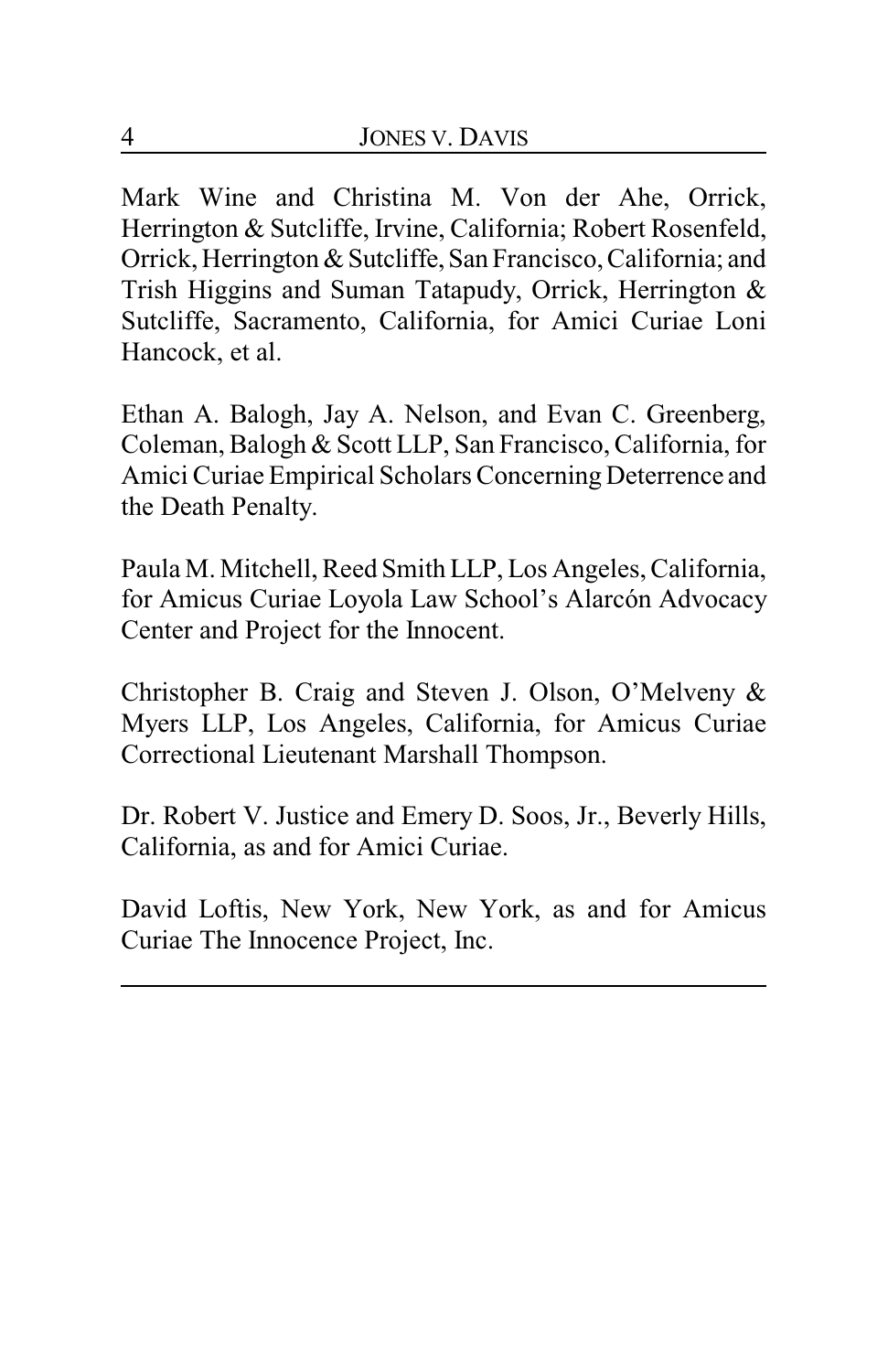Mark Wine and Christina M. Von der Ahe, Orrick, Herrington & Sutcliffe, Irvine, California; Robert Rosenfeld, Orrick, Herrington & Sutcliffe, San Francisco, California; and Trish Higgins and Suman Tatapudy, Orrick, Herrington & Sutcliffe, Sacramento, California, for Amici Curiae Loni Hancock, et al.

Ethan A. Balogh, Jay A. Nelson, and Evan C. Greenberg, Coleman, Balogh & Scott LLP, San Francisco, California, for Amici Curiae Empirical Scholars Concerning Deterrence and the Death Penalty.

Paula M. Mitchell, Reed Smith LLP, Los Angeles, California, for Amicus Curiae Loyola Law School's Alarcón Advocacy Center and Project for the Innocent.

Christopher B. Craig and Steven J. Olson, O'Melveny & Myers LLP, Los Angeles, California, for Amicus Curiae Correctional Lieutenant Marshall Thompson.

Dr. Robert V. Justice and Emery D. Soos, Jr., Beverly Hills, California, as and for Amici Curiae.

David Loftis, New York, New York, as and for Amicus Curiae The Innocence Project, Inc.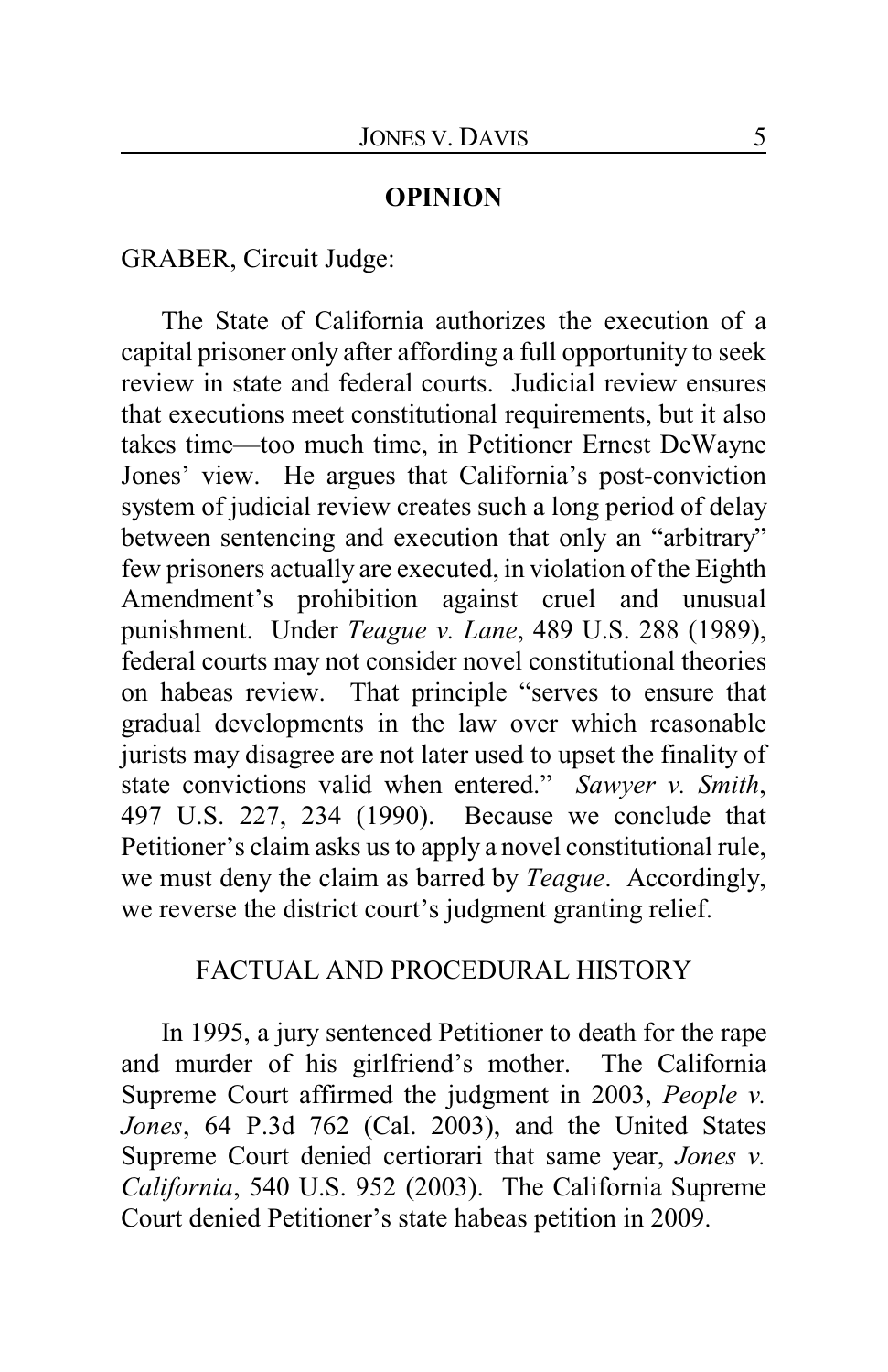#### **OPINION**

GRABER, Circuit Judge:

The State of California authorizes the execution of a capital prisoner only after affording a full opportunity to seek review in state and federal courts. Judicial review ensures that executions meet constitutional requirements, but it also takes time—too much time, in Petitioner Ernest DeWayne Jones' view. He argues that California's post-conviction system of judicial review creates such a long period of delay between sentencing and execution that only an "arbitrary" few prisoners actually are executed, in violation of the Eighth Amendment's prohibition against cruel and unusual punishment. Under *Teague v. Lane*, 489 U.S. 288 (1989), federal courts may not consider novel constitutional theories on habeas review. That principle "serves to ensure that gradual developments in the law over which reasonable jurists may disagree are not later used to upset the finality of state convictions valid when entered." *Sawyer v. Smith*, 497 U.S. 227, 234 (1990). Because we conclude that Petitioner's claim asks us to apply a novel constitutional rule, we must deny the claim as barred by *Teague*. Accordingly, we reverse the district court's judgment granting relief.

#### FACTUAL AND PROCEDURAL HISTORY

In 1995, a jury sentenced Petitioner to death for the rape and murder of his girlfriend's mother. The California Supreme Court affirmed the judgment in 2003, *People v. Jones*, 64 P.3d 762 (Cal. 2003), and the United States Supreme Court denied certiorari that same year, *Jones v. California*, 540 U.S. 952 (2003). The California Supreme Court denied Petitioner's state habeas petition in 2009.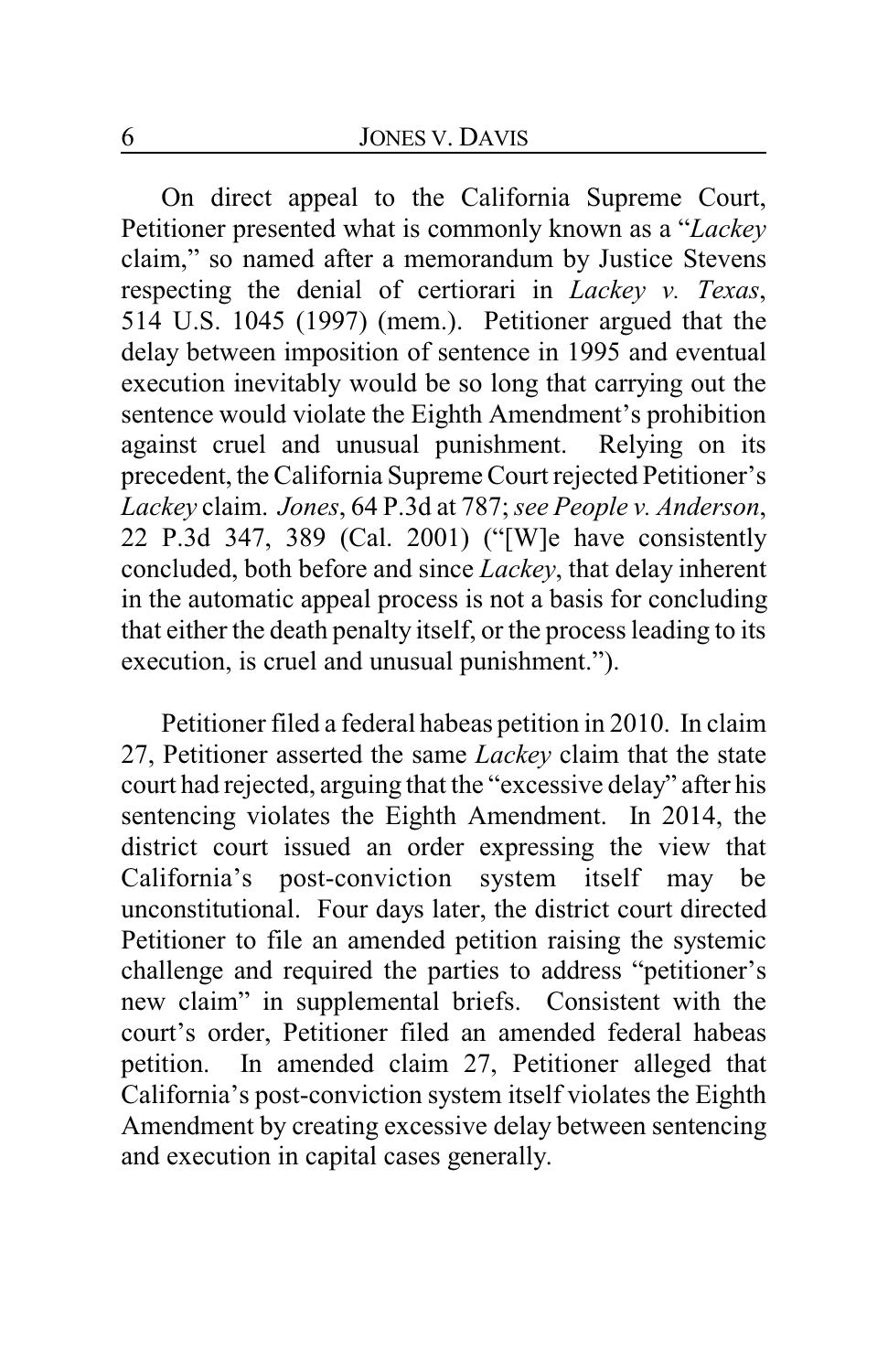On direct appeal to the California Supreme Court, Petitioner presented what is commonly known as a "*Lackey* claim," so named after a memorandum by Justice Stevens respecting the denial of certiorari in *Lackey v. Texas*, 514 U.S. 1045 (1997) (mem.). Petitioner argued that the delay between imposition of sentence in 1995 and eventual execution inevitably would be so long that carrying out the sentence would violate the Eighth Amendment's prohibition against cruel and unusual punishment. Relying on its precedent, the California Supreme Court rejected Petitioner's *Lackey* claim. *Jones*, 64 P.3d at 787; *see People v. Anderson*, 22 P.3d 347, 389 (Cal. 2001) ("[W]e have consistently concluded, both before and since *Lackey*, that delay inherent in the automatic appeal process is not a basis for concluding that either the death penalty itself, or the process leading to its execution, is cruel and unusual punishment.").

Petitioner filed a federal habeas petition in 2010. In claim 27, Petitioner asserted the same *Lackey* claim that the state court had rejected, arguing that the "excessive delay" after his sentencing violates the Eighth Amendment. In 2014, the district court issued an order expressing the view that California's post-conviction system itself may be unconstitutional. Four days later, the district court directed Petitioner to file an amended petition raising the systemic challenge and required the parties to address "petitioner's new claim" in supplemental briefs. Consistent with the court's order, Petitioner filed an amended federal habeas petition. In amended claim 27, Petitioner alleged that California's post-conviction system itself violates the Eighth Amendment by creating excessive delay between sentencing and execution in capital cases generally.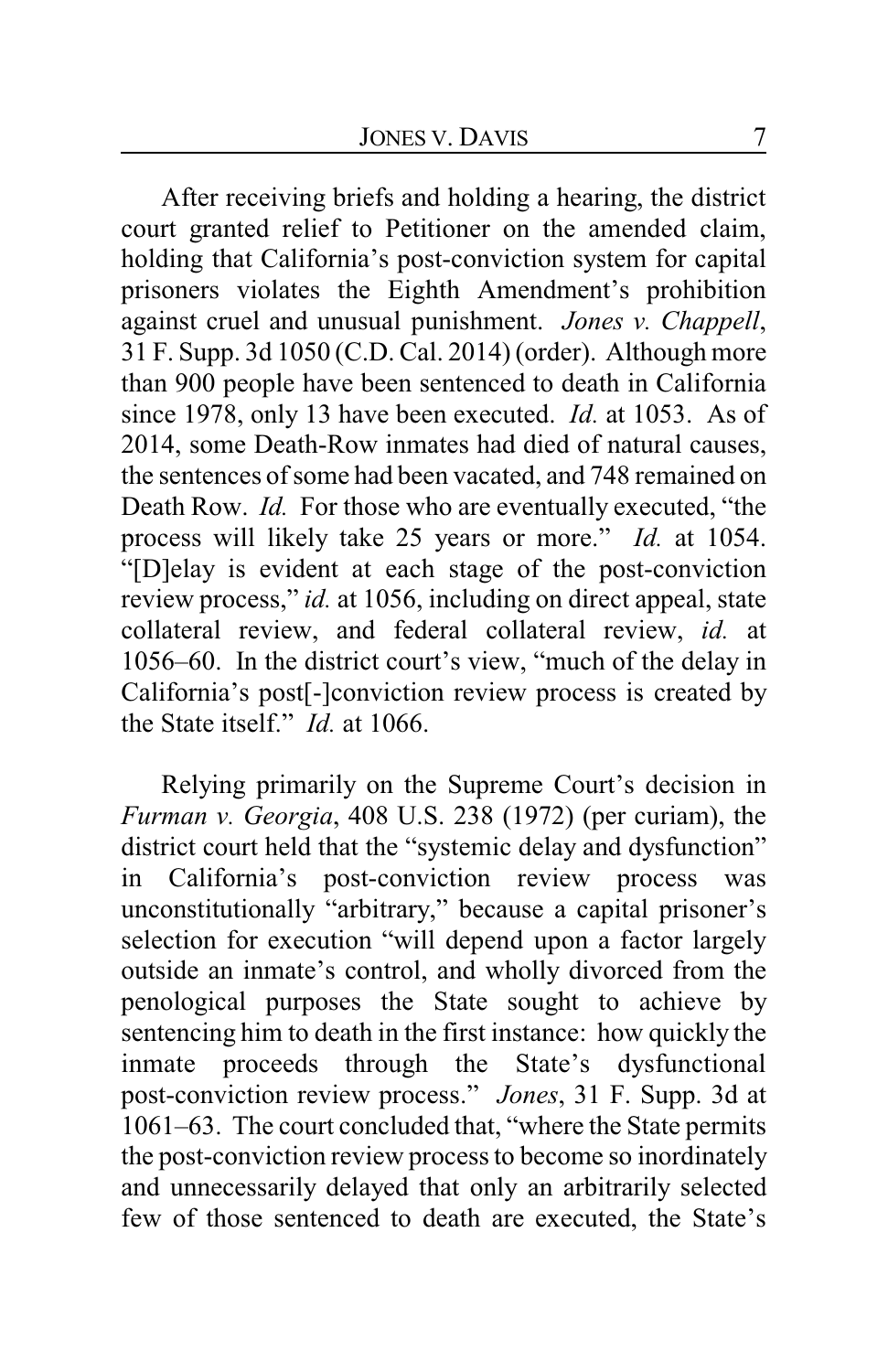After receiving briefs and holding a hearing, the district court granted relief to Petitioner on the amended claim, holding that California's post-conviction system for capital prisoners violates the Eighth Amendment's prohibition against cruel and unusual punishment. *Jones v. Chappell*, 31 F. Supp. 3d 1050 (C.D. Cal. 2014) (order). Although more than 900 people have been sentenced to death in California since 1978, only 13 have been executed. *Id.* at 1053. As of 2014, some Death-Row inmates had died of natural causes, the sentences of some had been vacated, and 748 remained on Death Row. *Id.* For those who are eventually executed, "the process will likely take 25 years or more." *Id.* at 1054. "[D]elay is evident at each stage of the post-conviction review process," *id.* at 1056, including on direct appeal, state collateral review, and federal collateral review, *id.* at 1056–60. In the district court's view, "much of the delay in California's post[-]conviction review process is created by the State itself." *Id.* at 1066.

Relying primarily on the Supreme Court's decision in *Furman v. Georgia*, 408 U.S. 238 (1972) (per curiam), the district court held that the "systemic delay and dysfunction" in California's post-conviction review process was unconstitutionally "arbitrary," because a capital prisoner's selection for execution "will depend upon a factor largely outside an inmate's control, and wholly divorced from the penological purposes the State sought to achieve by sentencing him to death in the first instance: how quickly the inmate proceeds through the State's dysfunctional post-conviction review process." *Jones*, 31 F. Supp. 3d at 1061–63. The court concluded that, "where the State permits the post-conviction review process to become so inordinately and unnecessarily delayed that only an arbitrarily selected few of those sentenced to death are executed, the State's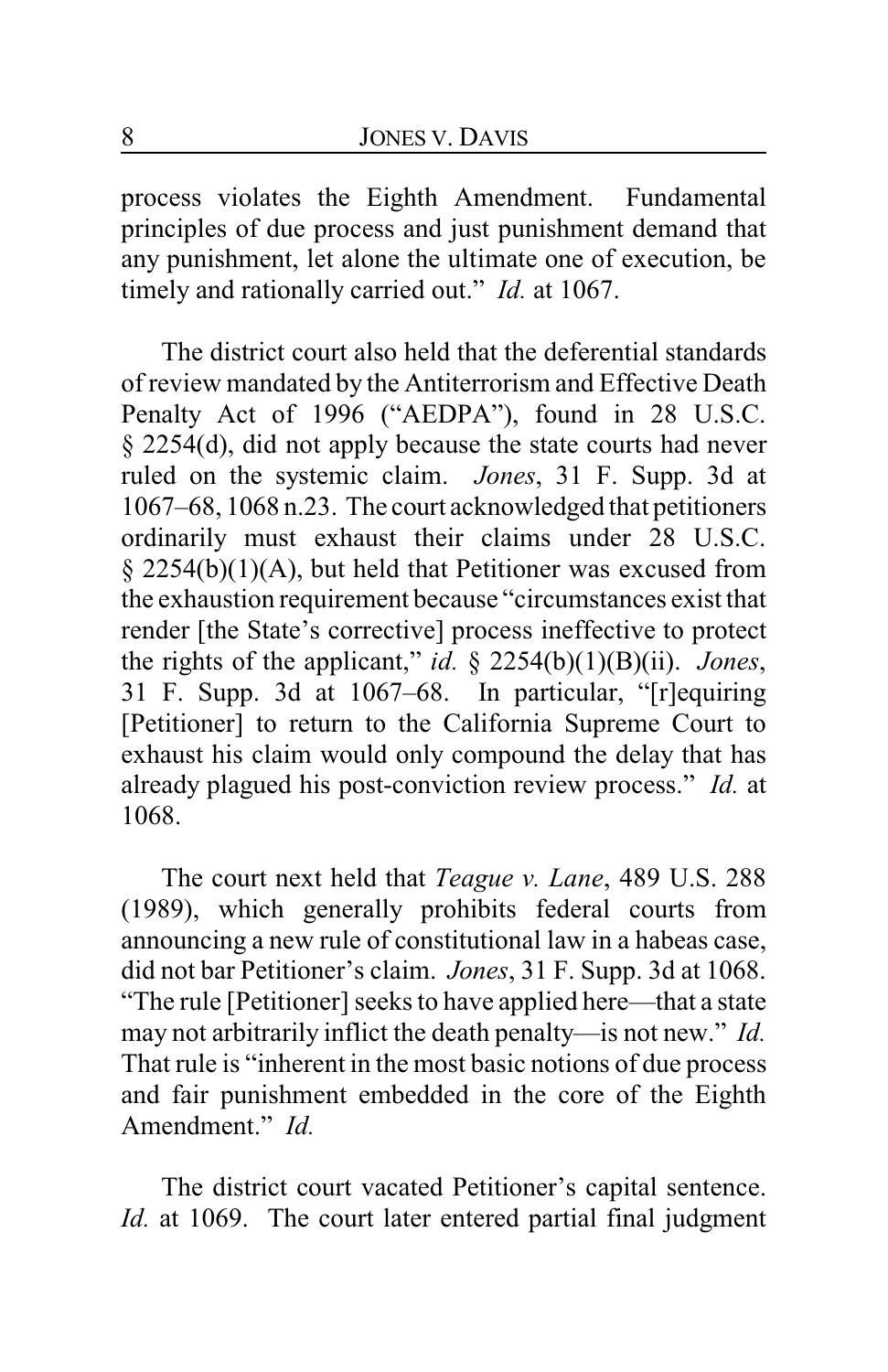process violates the Eighth Amendment. Fundamental principles of due process and just punishment demand that any punishment, let alone the ultimate one of execution, be timely and rationally carried out." *Id.* at 1067.

The district court also held that the deferential standards of review mandated by the Antiterrorism and Effective Death Penalty Act of 1996 ("AEDPA"), found in 28 U.S.C. § 2254(d), did not apply because the state courts had never ruled on the systemic claim. *Jones*, 31 F. Supp. 3d at 1067–68, 1068 n.23. The court acknowledged that petitioners ordinarily must exhaust their claims under 28 U.S.C. § 2254(b)(1)(A), but held that Petitioner was excused from the exhaustion requirement because "circumstances exist that render [the State's corrective] process ineffective to protect the rights of the applicant," *id.* § 2254(b)(1)(B)(ii). *Jones*, 31 F. Supp. 3d at 1067–68. In particular, "[r]equiring [Petitioner] to return to the California Supreme Court to exhaust his claim would only compound the delay that has already plagued his post-conviction review process." *Id.* at 1068.

The court next held that *Teague v. Lane*, 489 U.S. 288 (1989), which generally prohibits federal courts from announcing a new rule of constitutional law in a habeas case, did not bar Petitioner's claim. *Jones*, 31 F. Supp. 3d at 1068. "The rule [Petitioner] seeks to have applied here—that a state may not arbitrarily inflict the death penalty—is not new." *Id.* That rule is "inherent in the most basic notions of due process and fair punishment embedded in the core of the Eighth Amendment." *Id.*

The district court vacated Petitioner's capital sentence. *Id.* at 1069. The court later entered partial final judgment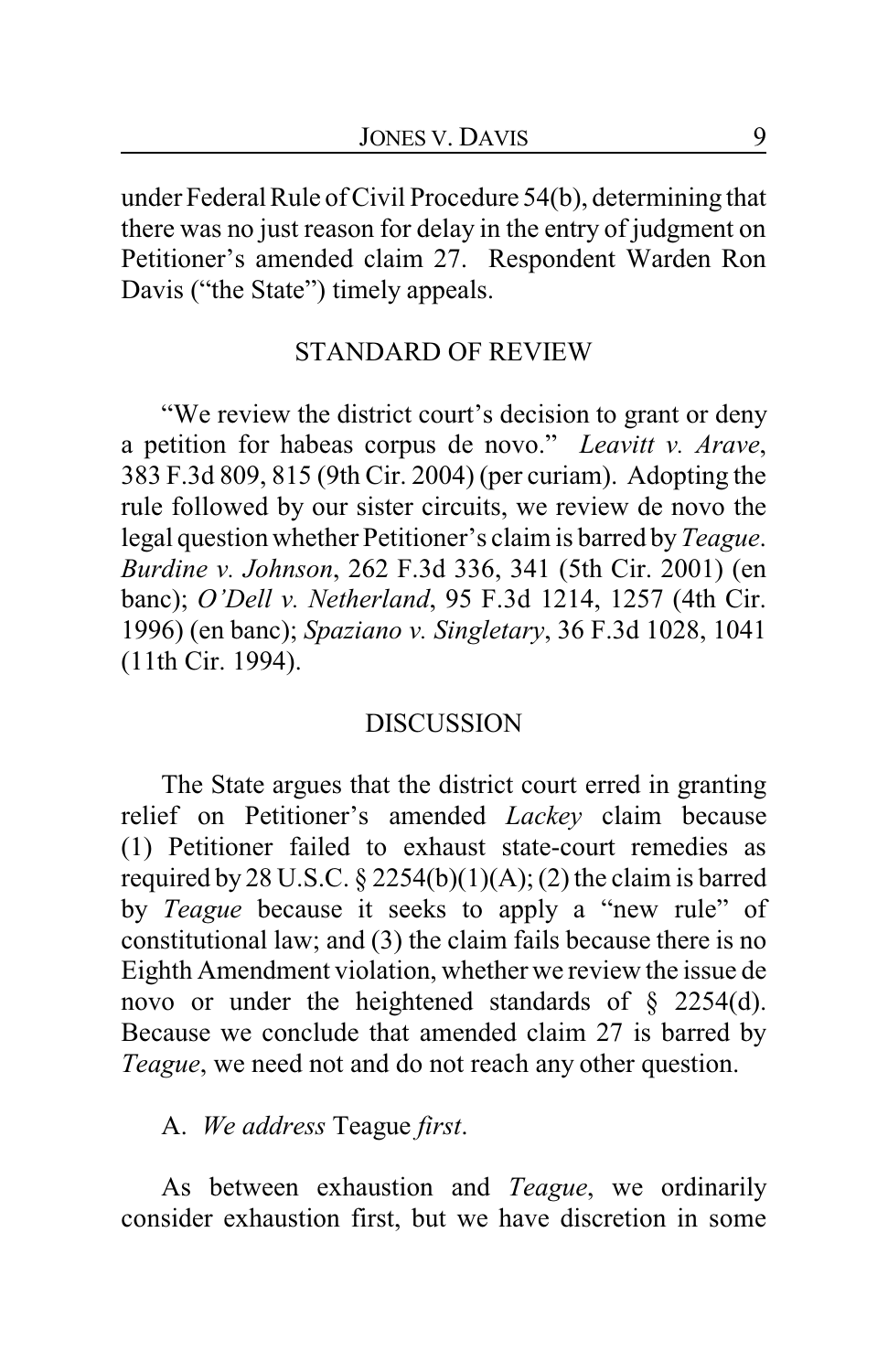under Federal Rule of Civil Procedure 54(b), determining that there was no just reason for delay in the entry of judgment on Petitioner's amended claim 27. Respondent Warden Ron Davis ("the State") timely appeals.

#### STANDARD OF REVIEW

"We review the district court's decision to grant or deny a petition for habeas corpus de novo." *Leavitt v. Arave*, 383 F.3d 809, 815 (9th Cir. 2004) (per curiam). Adopting the rule followed by our sister circuits, we review de novo the legal question whether Petitioner's claim is barred by*Teague*. *Burdine v. Johnson*, 262 F.3d 336, 341 (5th Cir. 2001) (en banc); *O'Dell v. Netherland*, 95 F.3d 1214, 1257 (4th Cir. 1996) (en banc); *Spaziano v. Singletary*, 36 F.3d 1028, 1041 (11th Cir. 1994).

#### DISCUSSION

The State argues that the district court erred in granting relief on Petitioner's amended *Lackey* claim because (1) Petitioner failed to exhaust state-court remedies as required by 28 U.S.C.  $\S$  2254(b)(1)(A); (2) the claim is barred by *Teague* because it seeks to apply a "new rule" of constitutional law; and (3) the claim fails because there is no Eighth Amendment violation, whether we review the issue de novo or under the heightened standards of § 2254(d). Because we conclude that amended claim 27 is barred by *Teague*, we need not and do not reach any other question.

A. *We address* Teague *first*.

As between exhaustion and *Teague*, we ordinarily consider exhaustion first, but we have discretion in some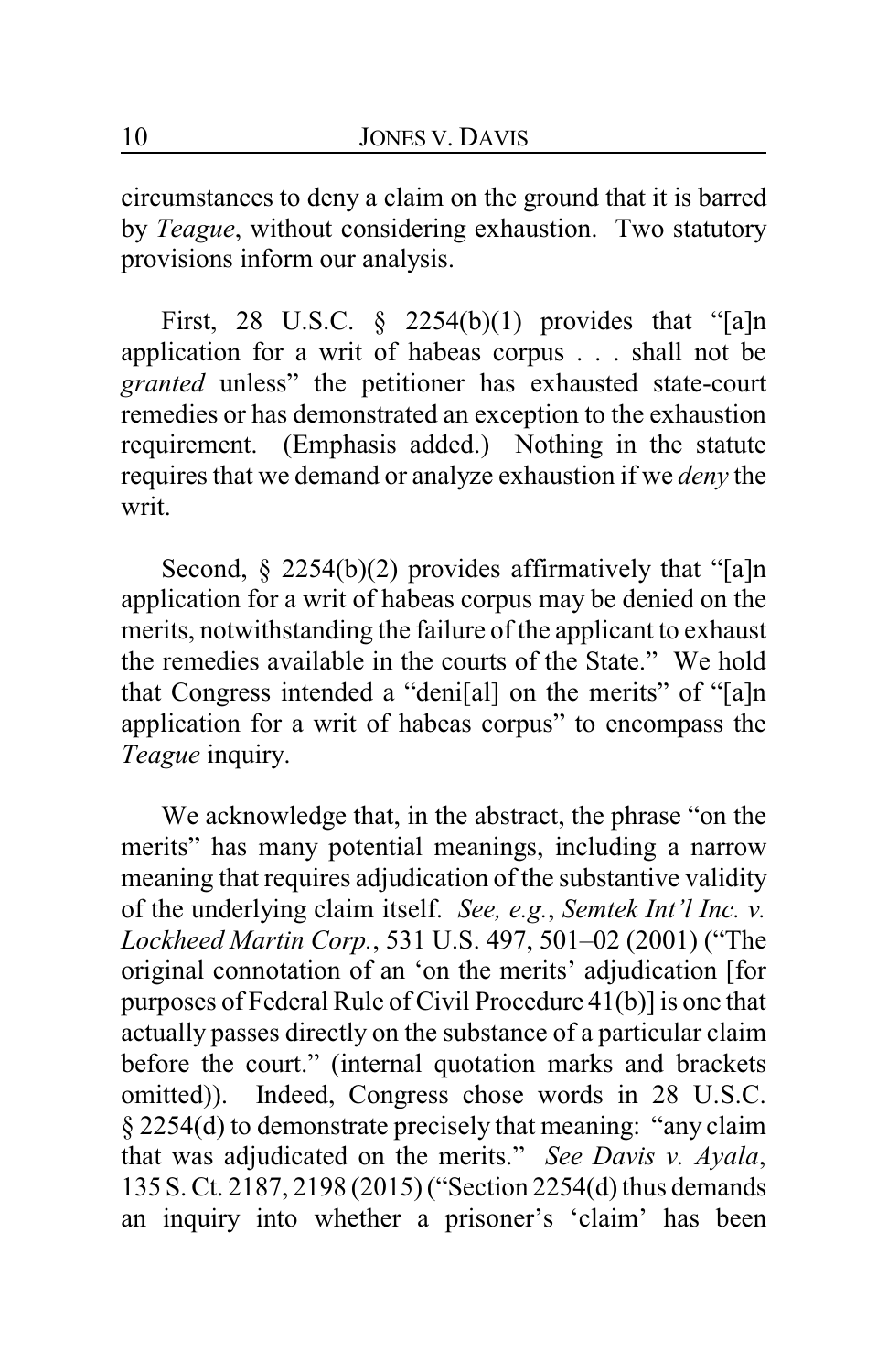circumstances to deny a claim on the ground that it is barred by *Teague*, without considering exhaustion. Two statutory provisions inform our analysis.

First, 28 U.S.C.  $\S$  2254(b)(1) provides that "[a]n application for a writ of habeas corpus . . . shall not be *granted* unless" the petitioner has exhausted state-court remedies or has demonstrated an exception to the exhaustion requirement. (Emphasis added.) Nothing in the statute requires that we demand or analyze exhaustion if we *deny* the writ.

Second,  $\S$  2254(b)(2) provides affirmatively that "[a]n application for a writ of habeas corpus may be denied on the merits, notwithstanding the failure of the applicant to exhaust the remedies available in the courts of the State." We hold that Congress intended a "deni[al] on the merits" of "[a]n application for a writ of habeas corpus" to encompass the *Teague* inquiry.

We acknowledge that, in the abstract, the phrase "on the merits" has many potential meanings, including a narrow meaning that requires adjudication of the substantive validity of the underlying claim itself. *See, e.g.*, *Semtek Int'l Inc. v. Lockheed Martin Corp.*, 531 U.S. 497, 501–02 (2001) ("The original connotation of an 'on the merits' adjudication [for purposes of Federal Rule of Civil Procedure 41(b)] is one that actually passes directly on the substance of a particular claim before the court." (internal quotation marks and brackets omitted)). Indeed, Congress chose words in 28 U.S.C. § 2254(d) to demonstrate precisely that meaning: "any claim that was adjudicated on the merits." *See Davis v. Ayala*, 135 S. Ct. 2187, 2198 (2015) ("Section 2254(d) thus demands an inquiry into whether a prisoner's 'claim' has been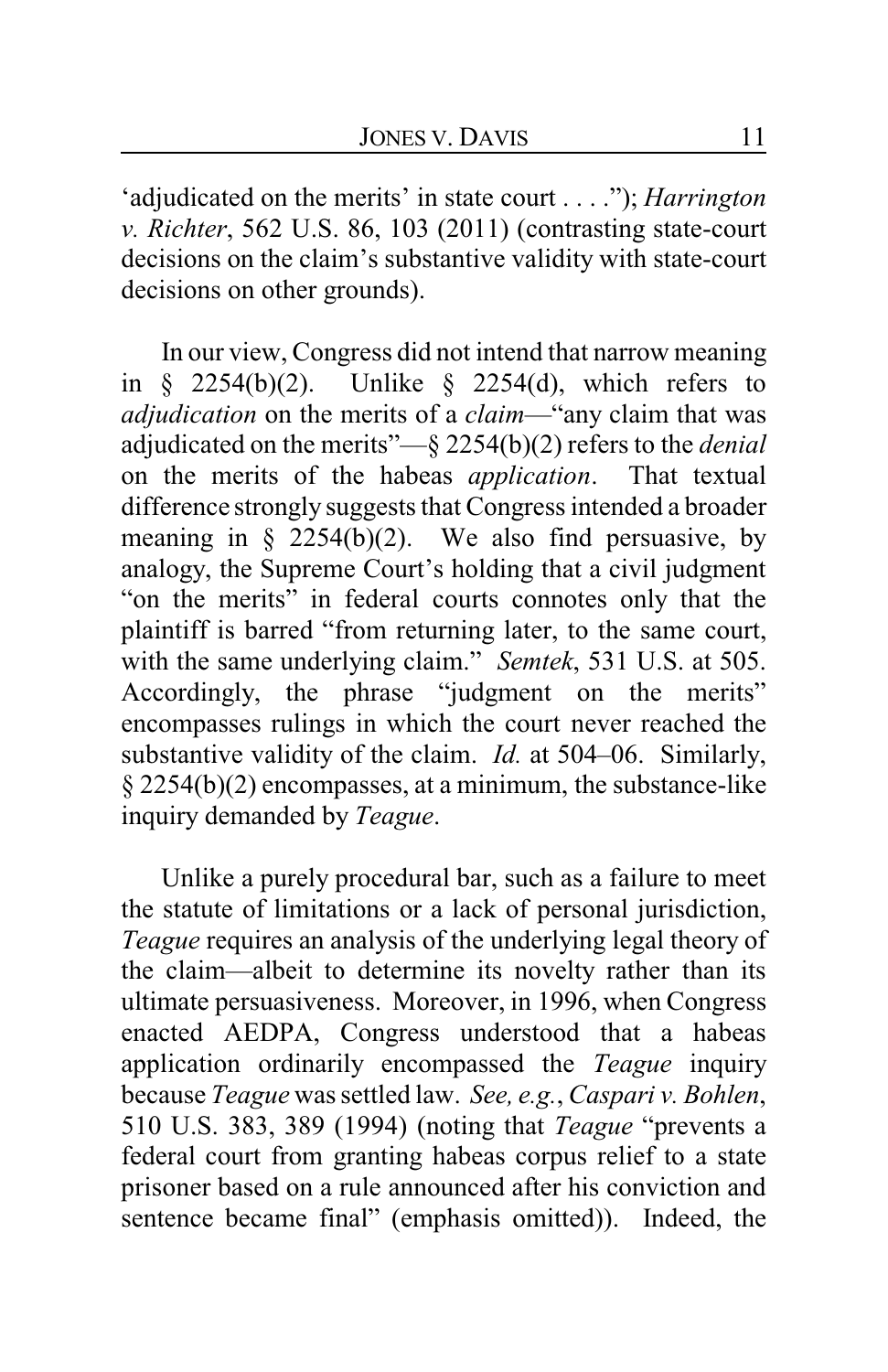'adjudicated on the merits' in state court . . . ."); *Harrington v. Richter*, 562 U.S. 86, 103 (2011) (contrasting state-court decisions on the claim's substantive validity with state-court decisions on other grounds).

In our view, Congress did not intend that narrow meaning in § 2254(b)(2). Unlike § 2254(d), which refers to *adjudication* on the merits of a *claim*—"any claim that was adjudicated on the merits"—§ 2254(b)(2) refers to the *denial* on the merits of the habeas *application*. That textual difference strongly suggests that Congress intended a broader meaning in  $\S$  2254(b)(2). We also find persuasive, by analogy, the Supreme Court's holding that a civil judgment "on the merits" in federal courts connotes only that the plaintiff is barred "from returning later, to the same court, with the same underlying claim." *Semtek*, 531 U.S. at 505. Accordingly, the phrase "judgment on the merits" encompasses rulings in which the court never reached the substantive validity of the claim. *Id.* at 504–06. Similarly, § 2254(b)(2) encompasses, at a minimum, the substance-like inquiry demanded by *Teague*.

Unlike a purely procedural bar, such as a failure to meet the statute of limitations or a lack of personal jurisdiction, *Teague* requires an analysis of the underlying legal theory of the claim—albeit to determine its novelty rather than its ultimate persuasiveness. Moreover, in 1996, when Congress enacted AEDPA, Congress understood that a habeas application ordinarily encompassed the *Teague* inquiry because *Teague* was settled law. *See, e.g.*, *Caspari v. Bohlen*, 510 U.S. 383, 389 (1994) (noting that *Teague* "prevents a federal court from granting habeas corpus relief to a state prisoner based on a rule announced after his conviction and sentence became final" (emphasis omitted)). Indeed, the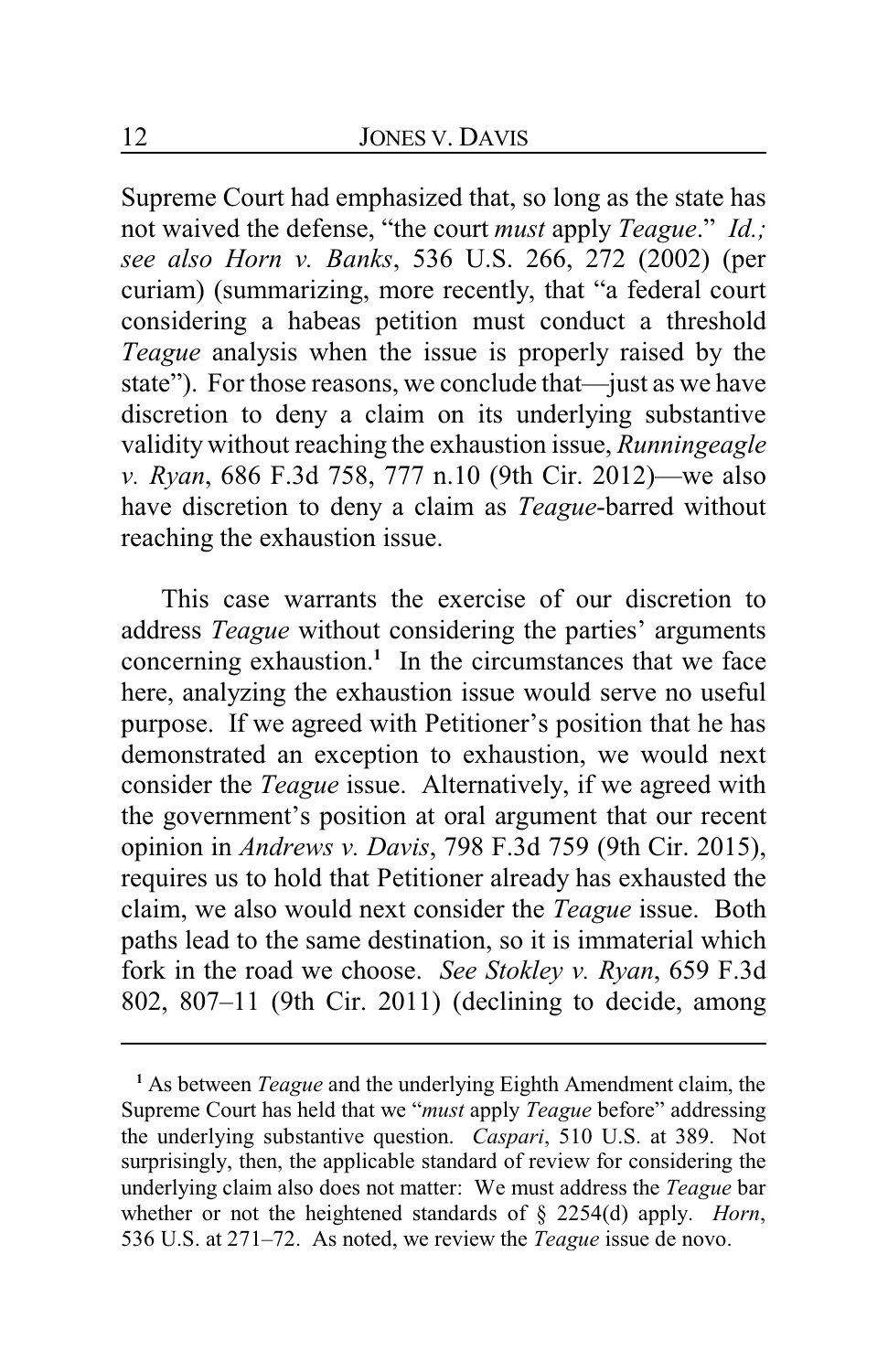Supreme Court had emphasized that, so long as the state has not waived the defense, "the court *must* apply *Teague*." *Id.; see also Horn v. Banks*, 536 U.S. 266, 272 (2002) (per curiam) (summarizing, more recently, that "a federal court considering a habeas petition must conduct a threshold *Teague* analysis when the issue is properly raised by the state"). For those reasons, we conclude that—just as we have discretion to deny a claim on its underlying substantive validity without reaching the exhaustion issue, *Runningeagle v. Ryan*, 686 F.3d 758, 777 n.10 (9th Cir. 2012)—we also have discretion to deny a claim as *Teague*-barred without reaching the exhaustion issue.

This case warrants the exercise of our discretion to address *Teague* without considering the parties' arguments concerning exhaustion.**<sup>1</sup>** In the circumstances that we face here, analyzing the exhaustion issue would serve no useful purpose. If we agreed with Petitioner's position that he has demonstrated an exception to exhaustion, we would next consider the *Teague* issue. Alternatively, if we agreed with the government's position at oral argument that our recent opinion in *Andrews v. Davis*, 798 F.3d 759 (9th Cir. 2015), requires us to hold that Petitioner already has exhausted the claim, we also would next consider the *Teague* issue. Both paths lead to the same destination, so it is immaterial which fork in the road we choose. *See Stokley v. Ryan*, 659 F.3d 802, 807–11 (9th Cir. 2011) (declining to decide, among

**<sup>1</sup>** As between *Teague* and the underlying Eighth Amendment claim, the Supreme Court has held that we "*must* apply *Teague* before" addressing the underlying substantive question. *Caspari*, 510 U.S. at 389. Not surprisingly, then, the applicable standard of review for considering the underlying claim also does not matter: We must address the *Teague* bar whether or not the heightened standards of § 2254(d) apply. *Horn*, 536 U.S. at 271–72. As noted, we review the *Teague* issue de novo.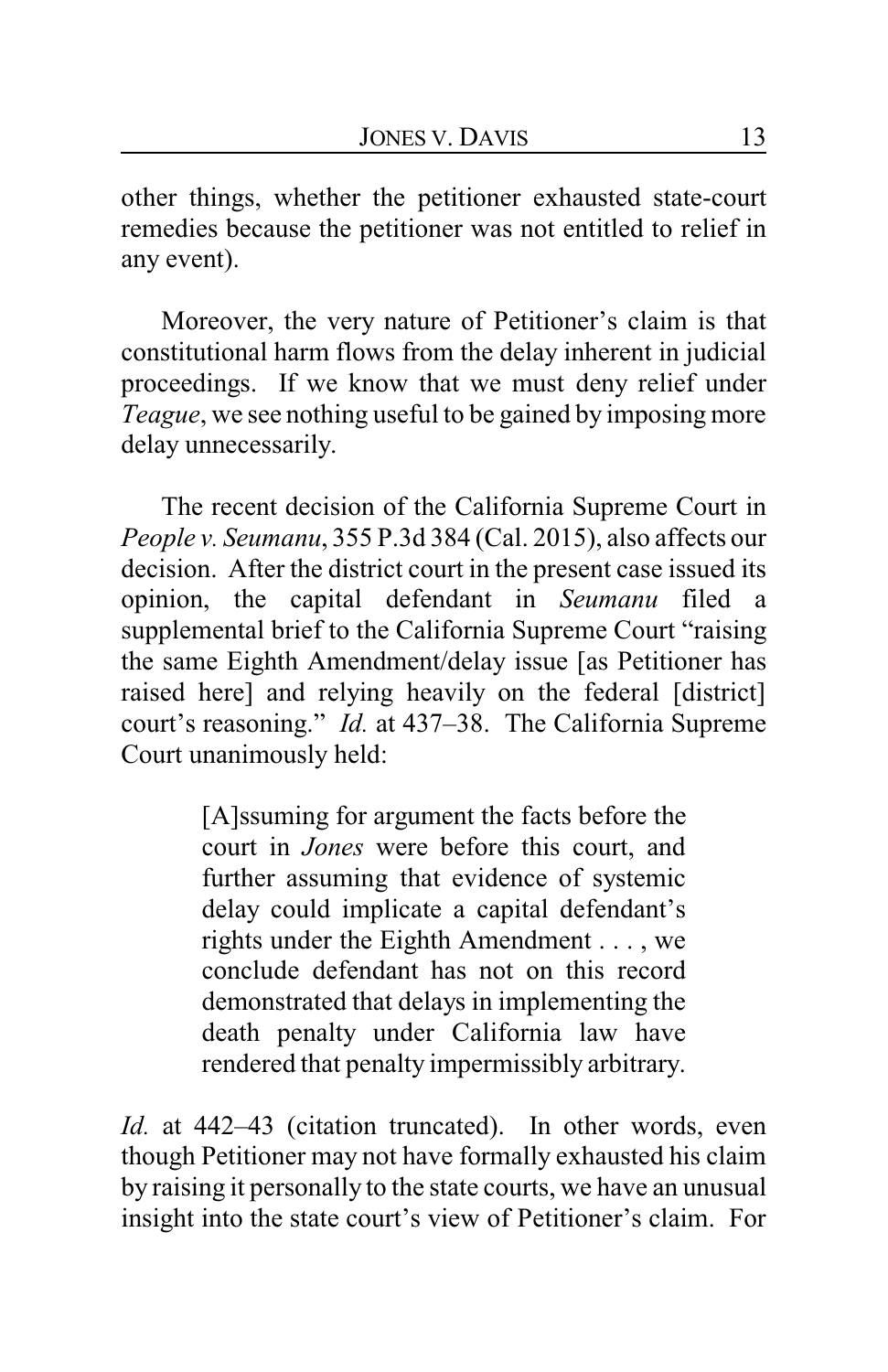other things, whether the petitioner exhausted state-court remedies because the petitioner was not entitled to relief in any event).

Moreover, the very nature of Petitioner's claim is that constitutional harm flows from the delay inherent in judicial proceedings. If we know that we must deny relief under *Teague*, we see nothing useful to be gained by imposing more delay unnecessarily.

The recent decision of the California Supreme Court in *People v. Seumanu*, 355 P.3d 384 (Cal. 2015), also affects our decision. After the district court in the present case issued its opinion, the capital defendant in *Seumanu* filed a supplemental brief to the California Supreme Court "raising the same Eighth Amendment/delay issue [as Petitioner has raised here] and relying heavily on the federal [district] court's reasoning." *Id.* at 437–38. The California Supreme Court unanimously held:

> [A]ssuming for argument the facts before the court in *Jones* were before this court, and further assuming that evidence of systemic delay could implicate a capital defendant's rights under the Eighth Amendment . . . , we conclude defendant has not on this record demonstrated that delays in implementing the death penalty under California law have rendered that penalty impermissibly arbitrary.

*Id.* at 442–43 (citation truncated). In other words, even though Petitioner may not have formally exhausted his claim by raising it personally to the state courts, we have an unusual insight into the state court's view of Petitioner's claim. For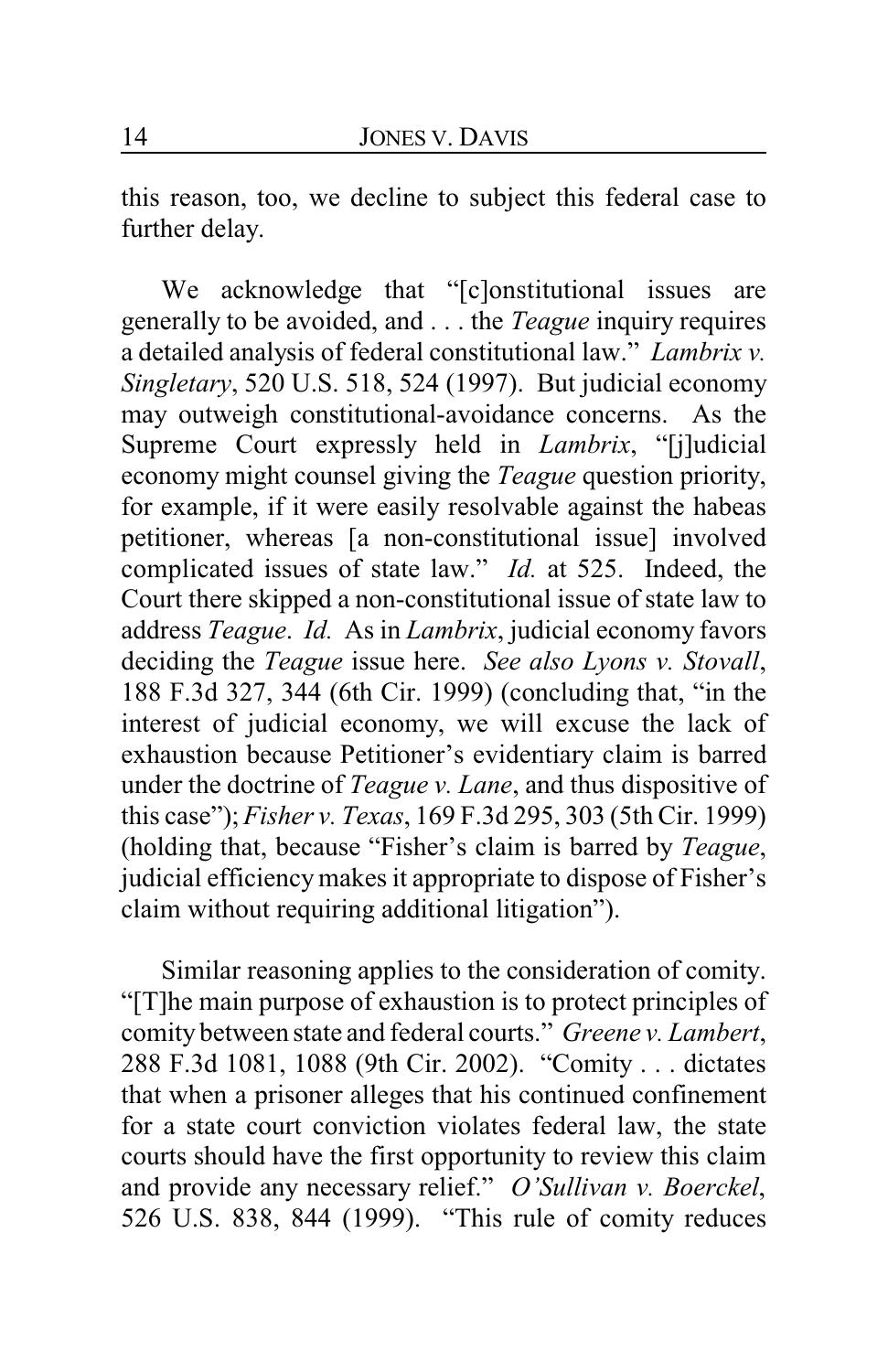this reason, too, we decline to subject this federal case to further delay.

We acknowledge that "[c]onstitutional issues are generally to be avoided, and . . . the *Teague* inquiry requires a detailed analysis of federal constitutional law." *Lambrix v. Singletary*, 520 U.S. 518, 524 (1997). But judicial economy may outweigh constitutional-avoidance concerns. As the Supreme Court expressly held in *Lambrix*, "[j]udicial economy might counsel giving the *Teague* question priority, for example, if it were easily resolvable against the habeas petitioner, whereas [a non-constitutional issue] involved complicated issues of state law." *Id.* at 525. Indeed, the Court there skipped a non-constitutional issue of state law to address *Teague*. *Id.* As in *Lambrix*, judicial economy favors deciding the *Teague* issue here. *See also Lyons v. Stovall*, 188 F.3d 327, 344 (6th Cir. 1999) (concluding that, "in the interest of judicial economy, we will excuse the lack of exhaustion because Petitioner's evidentiary claim is barred under the doctrine of *Teague v. Lane*, and thus dispositive of this case"); *Fisher v. Texas*, 169 F.3d 295, 303 (5th Cir. 1999) (holding that, because "Fisher's claim is barred by *Teague*, judicial efficiencymakes it appropriate to dispose of Fisher's claim without requiring additional litigation").

Similar reasoning applies to the consideration of comity. "[T]he main purpose of exhaustion is to protect principles of comity between state and federal courts." *Greene v. Lambert*, 288 F.3d 1081, 1088 (9th Cir. 2002). "Comity . . . dictates that when a prisoner alleges that his continued confinement for a state court conviction violates federal law, the state courts should have the first opportunity to review this claim and provide any necessary relief." *O'Sullivan v. Boerckel*, 526 U.S. 838, 844 (1999). "This rule of comity reduces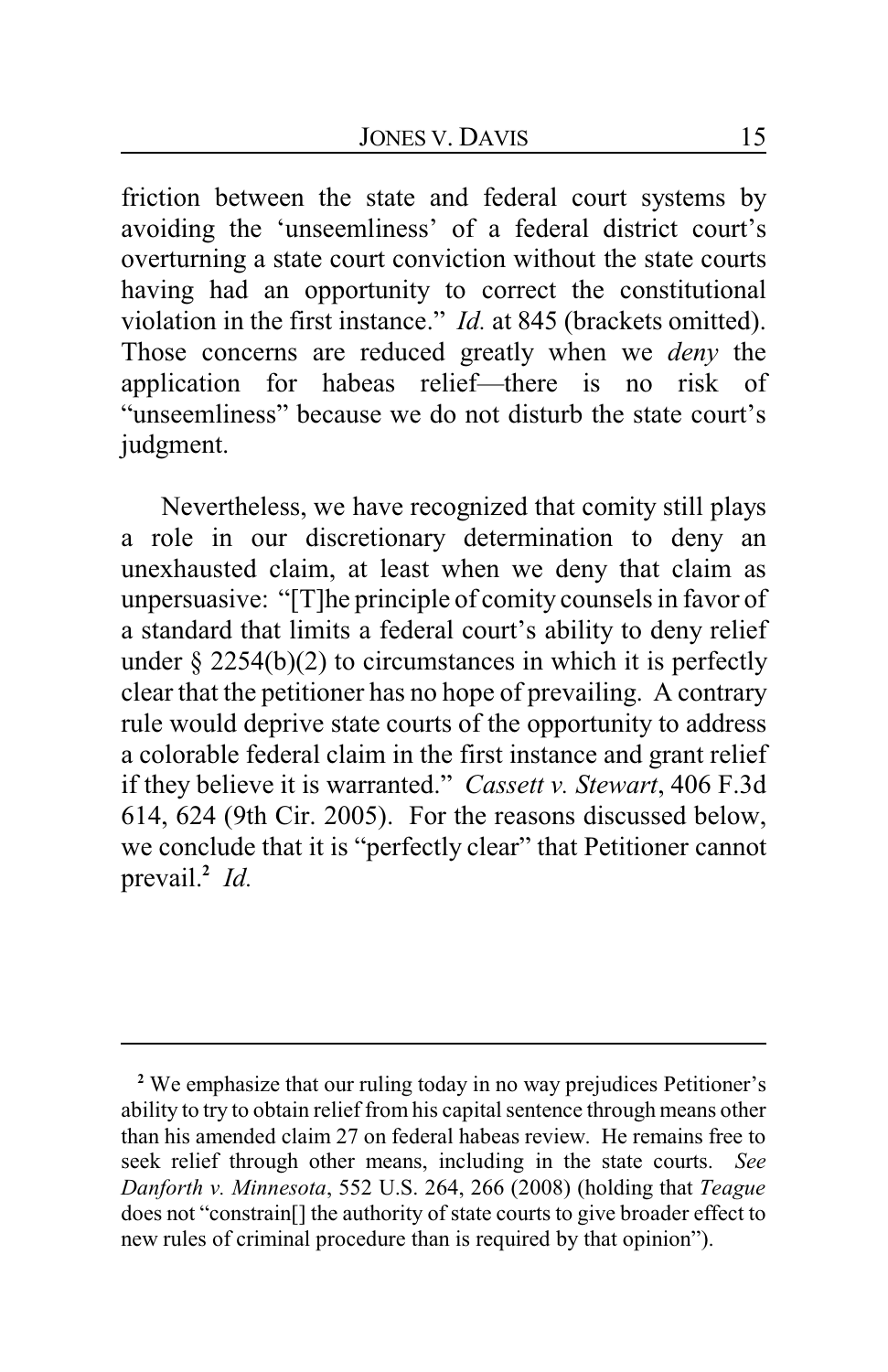friction between the state and federal court systems by avoiding the 'unseemliness' of a federal district court's overturning a state court conviction without the state courts having had an opportunity to correct the constitutional violation in the first instance." *Id.* at 845 (brackets omitted). Those concerns are reduced greatly when we *deny* the application for habeas relief—there is no risk of "unseemliness" because we do not disturb the state court's judgment.

Nevertheless, we have recognized that comity still plays a role in our discretionary determination to deny an unexhausted claim, at least when we deny that claim as unpersuasive: "[T]he principle of comity counsels in favor of a standard that limits a federal court's ability to deny relief under  $\S 2254(b)(2)$  to circumstances in which it is perfectly clear that the petitioner has no hope of prevailing. A contrary rule would deprive state courts of the opportunity to address a colorable federal claim in the first instance and grant relief if they believe it is warranted." *Cassett v. Stewart*, 406 F.3d 614, 624 (9th Cir. 2005). For the reasons discussed below, we conclude that it is "perfectly clear" that Petitioner cannot prevail.**<sup>2</sup>** *Id.*

**<sup>2</sup>** We emphasize that our ruling today in no way prejudices Petitioner's ability to try to obtain relief from his capital sentence through means other than his amended claim 27 on federal habeas review. He remains free to seek relief through other means, including in the state courts. *See Danforth v. Minnesota*, 552 U.S. 264, 266 (2008) (holding that *Teague* does not "constrain[] the authority of state courts to give broader effect to new rules of criminal procedure than is required by that opinion").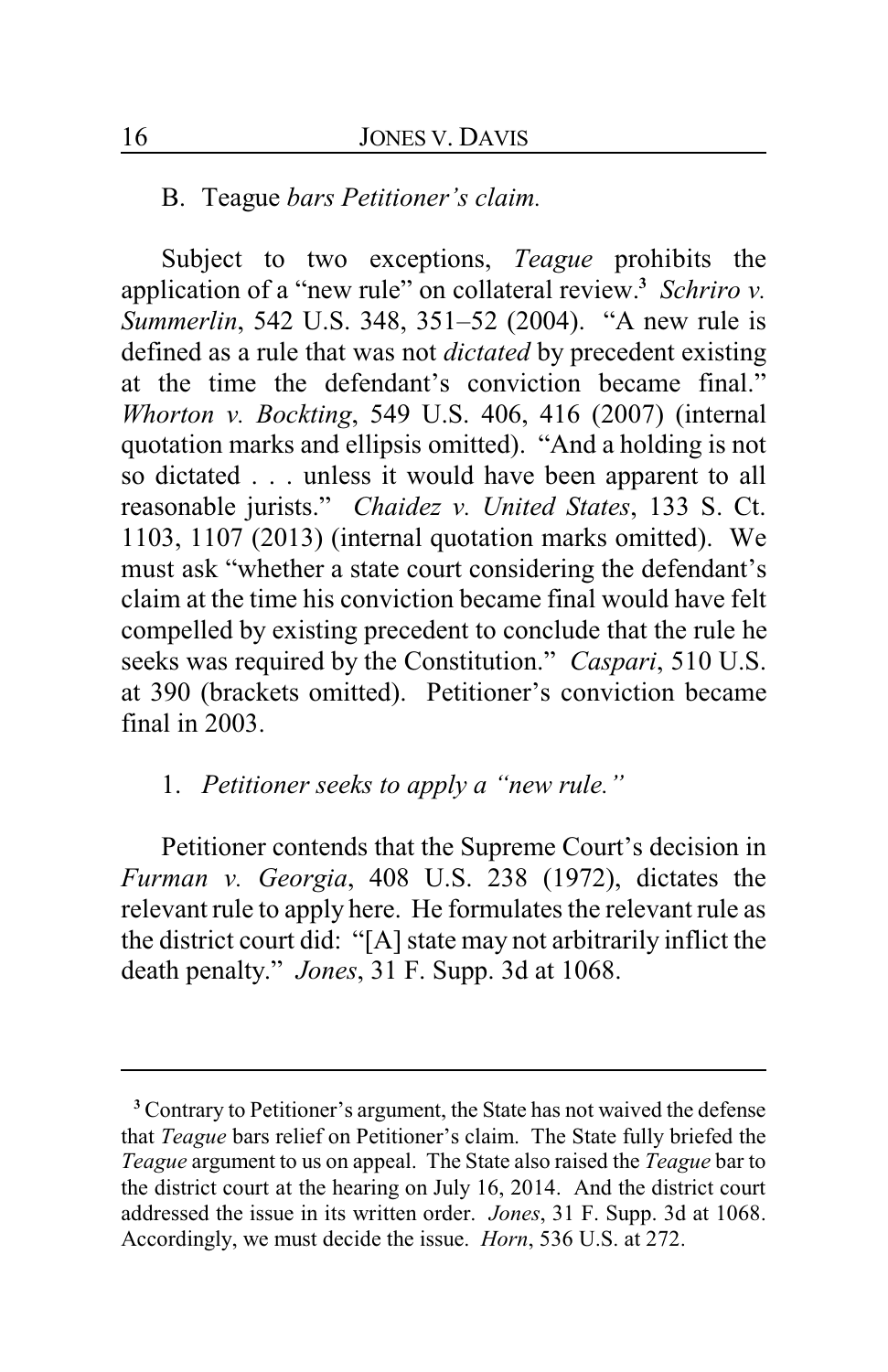#### B. Teague *bars Petitioner's claim.*

Subject to two exceptions, *Teague* prohibits the application of a "new rule" on collateral review.**<sup>3</sup>** *Schriro v. Summerlin*, 542 U.S. 348, 351–52 (2004). "A new rule is defined as a rule that was not *dictated* by precedent existing at the time the defendant's conviction became final." *Whorton v. Bockting*, 549 U.S. 406, 416 (2007) (internal quotation marks and ellipsis omitted). "And a holding is not so dictated . . . unless it would have been apparent to all reasonable jurists." *Chaidez v. United States*, 133 S. Ct. 1103, 1107 (2013) (internal quotation marks omitted). We must ask "whether a state court considering the defendant's claim at the time his conviction became final would have felt compelled by existing precedent to conclude that the rule he seeks was required by the Constitution." *Caspari*, 510 U.S. at 390 (brackets omitted). Petitioner's conviction became final in 2003.

## 1. *Petitioner seeks to apply a "new rule."*

Petitioner contends that the Supreme Court's decision in *Furman v. Georgia*, 408 U.S. 238 (1972), dictates the relevant rule to apply here. He formulates the relevant rule as the district court did: "[A] state may not arbitrarily inflict the death penalty." *Jones*, 31 F. Supp. 3d at 1068.

**<sup>3</sup>** Contrary to Petitioner's argument, the State has not waived the defense that *Teague* bars relief on Petitioner's claim. The State fully briefed the *Teague* argument to us on appeal. The State also raised the *Teague* bar to the district court at the hearing on July 16, 2014. And the district court addressed the issue in its written order. *Jones*, 31 F. Supp. 3d at 1068. Accordingly, we must decide the issue. *Horn*, 536 U.S. at 272.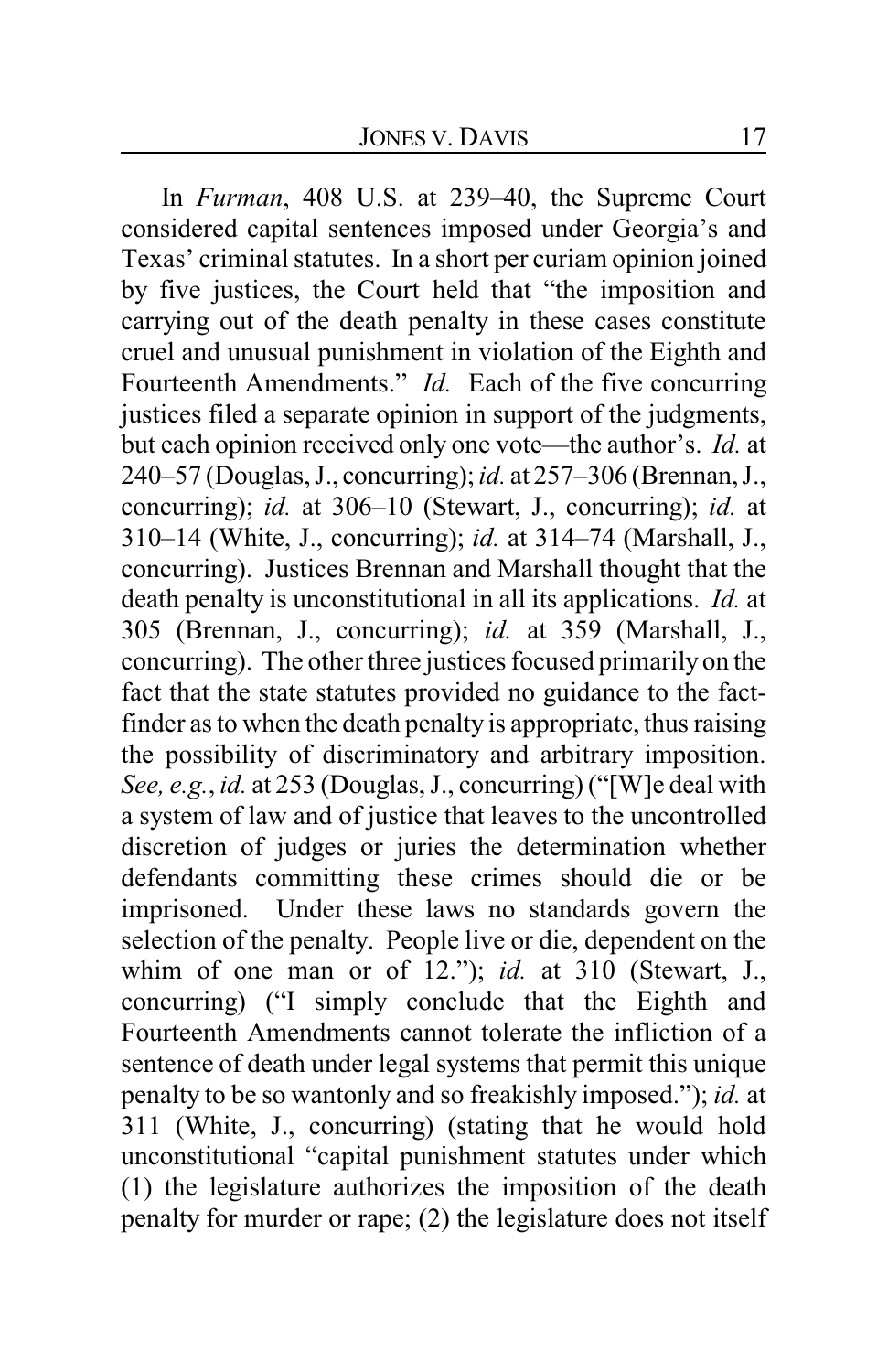In *Furman*, 408 U.S. at 239–40, the Supreme Court considered capital sentences imposed under Georgia's and Texas' criminal statutes. In a short per curiam opinion joined by five justices, the Court held that "the imposition and carrying out of the death penalty in these cases constitute cruel and unusual punishment in violation of the Eighth and Fourteenth Amendments." *Id.* Each of the five concurring justices filed a separate opinion in support of the judgments, but each opinion received only one vote—the author's. *Id.* at 240–57 (Douglas, J., concurring); *id.* at 257–306 (Brennan, J., concurring); *id.* at 306–10 (Stewart, J., concurring); *id.* at 310–14 (White, J., concurring); *id.* at 314–74 (Marshall, J., concurring). Justices Brennan and Marshall thought that the death penalty is unconstitutional in all its applications. *Id.* at 305 (Brennan, J., concurring); *id.* at 359 (Marshall, J., concurring). The other three justices focused primarily on the fact that the state statutes provided no guidance to the factfinder as to when the death penalty is appropriate, thus raising the possibility of discriminatory and arbitrary imposition. *See, e.g.*, *id.* at 253 (Douglas, J., concurring) ("[W]e deal with a system of law and of justice that leaves to the uncontrolled discretion of judges or juries the determination whether defendants committing these crimes should die or be imprisoned. Under these laws no standards govern the selection of the penalty. People live or die, dependent on the whim of one man or of 12."); *id.* at 310 (Stewart, J., concurring) ("I simply conclude that the Eighth and Fourteenth Amendments cannot tolerate the infliction of a sentence of death under legal systems that permit this unique penalty to be so wantonly and so freakishly imposed."); *id.* at 311 (White, J., concurring) (stating that he would hold unconstitutional "capital punishment statutes under which (1) the legislature authorizes the imposition of the death penalty for murder or rape; (2) the legislature does not itself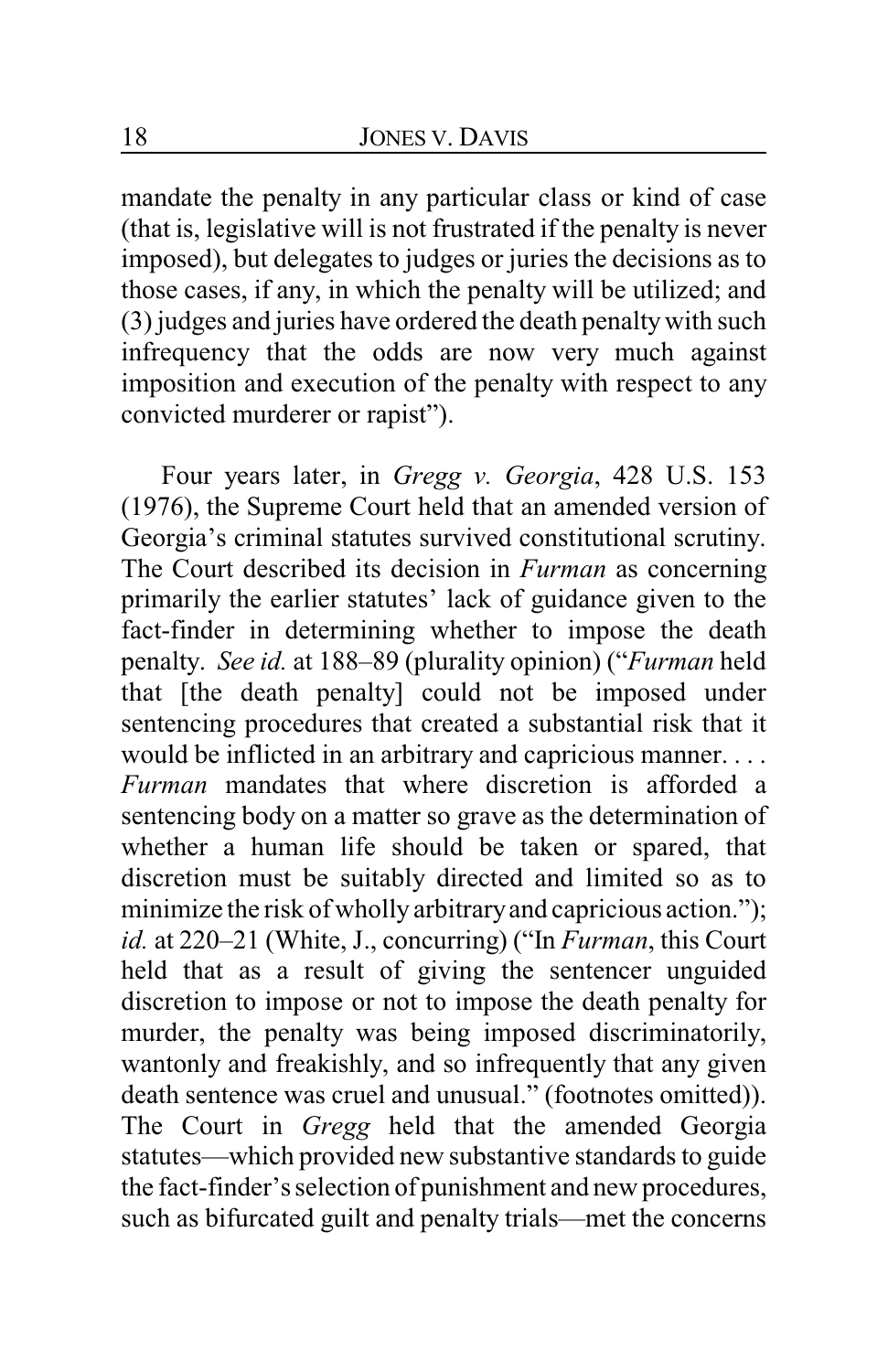mandate the penalty in any particular class or kind of case (that is, legislative will is not frustrated if the penalty is never imposed), but delegates to judges or juries the decisions as to those cases, if any, in which the penalty will be utilized; and (3) judges and juries have ordered the death penaltywith such infrequency that the odds are now very much against imposition and execution of the penalty with respect to any convicted murderer or rapist").

Four years later, in *Gregg v. Georgia*, 428 U.S. 153 (1976), the Supreme Court held that an amended version of Georgia's criminal statutes survived constitutional scrutiny. The Court described its decision in *Furman* as concerning primarily the earlier statutes' lack of guidance given to the fact-finder in determining whether to impose the death penalty. *See id.* at 188–89 (plurality opinion) ("*Furman* held that [the death penalty] could not be imposed under sentencing procedures that created a substantial risk that it would be inflicted in an arbitrary and capricious manner. . . . *Furman* mandates that where discretion is afforded a sentencing body on a matter so grave as the determination of whether a human life should be taken or spared, that discretion must be suitably directed and limited so as to minimize the risk of wholly arbitraryand capricious action."); *id.* at 220–21 (White, J., concurring) ("In *Furman*, this Court held that as a result of giving the sentencer unguided discretion to impose or not to impose the death penalty for murder, the penalty was being imposed discriminatorily, wantonly and freakishly, and so infrequently that any given death sentence was cruel and unusual." (footnotes omitted)). The Court in *Gregg* held that the amended Georgia statutes—which provided new substantive standards to guide the fact-finder's selection of punishment and new procedures, such as bifurcated guilt and penalty trials—met the concerns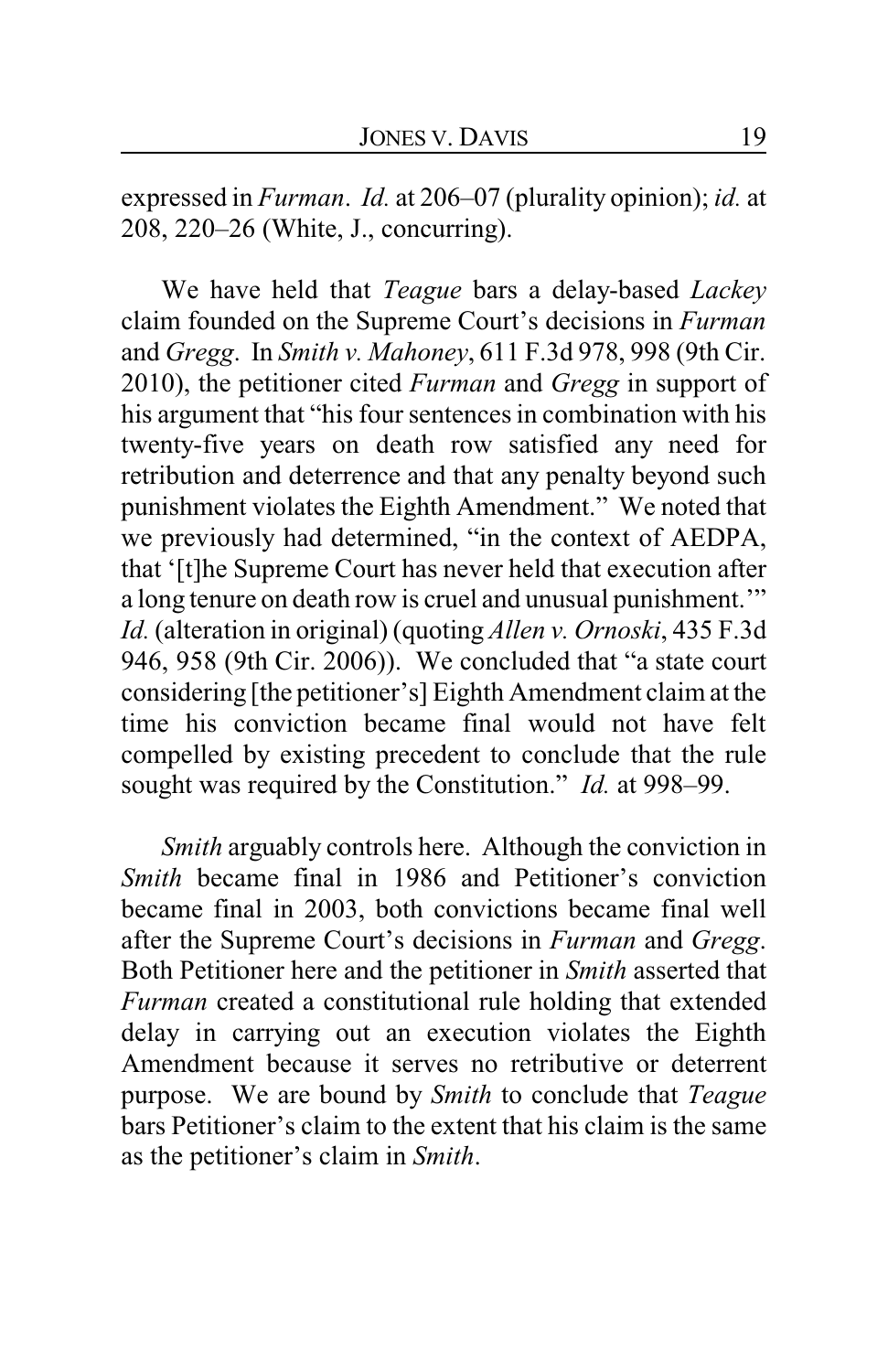expressed in *Furman*. *Id.* at 206–07 (plurality opinion); *id.* at 208, 220–26 (White, J., concurring).

We have held that *Teague* bars a delay-based *Lackey* claim founded on the Supreme Court's decisions in *Furman* and *Gregg*. In *Smith v. Mahoney*, 611 F.3d 978, 998 (9th Cir. 2010), the petitioner cited *Furman* and *Gregg* in support of his argument that "his four sentences in combination with his twenty-five years on death row satisfied any need for retribution and deterrence and that any penalty beyond such punishment violates the Eighth Amendment." We noted that we previously had determined, "in the context of AEDPA, that '[t]he Supreme Court has never held that execution after a long tenure on death row is cruel and unusual punishment.'" *Id.* (alteration in original) (quoting *Allen v. Ornoski*, 435 F.3d 946, 958 (9th Cir. 2006)). We concluded that "a state court considering [the petitioner's] Eighth Amendment claim at the time his conviction became final would not have felt compelled by existing precedent to conclude that the rule sought was required by the Constitution." *Id.* at 998–99.

*Smith* arguably controls here. Although the conviction in *Smith* became final in 1986 and Petitioner's conviction became final in 2003, both convictions became final well after the Supreme Court's decisions in *Furman* and *Gregg*. Both Petitioner here and the petitioner in *Smith* asserted that *Furman* created a constitutional rule holding that extended delay in carrying out an execution violates the Eighth Amendment because it serves no retributive or deterrent purpose. We are bound by *Smith* to conclude that *Teague* bars Petitioner's claim to the extent that his claim is the same as the petitioner's claim in *Smith*.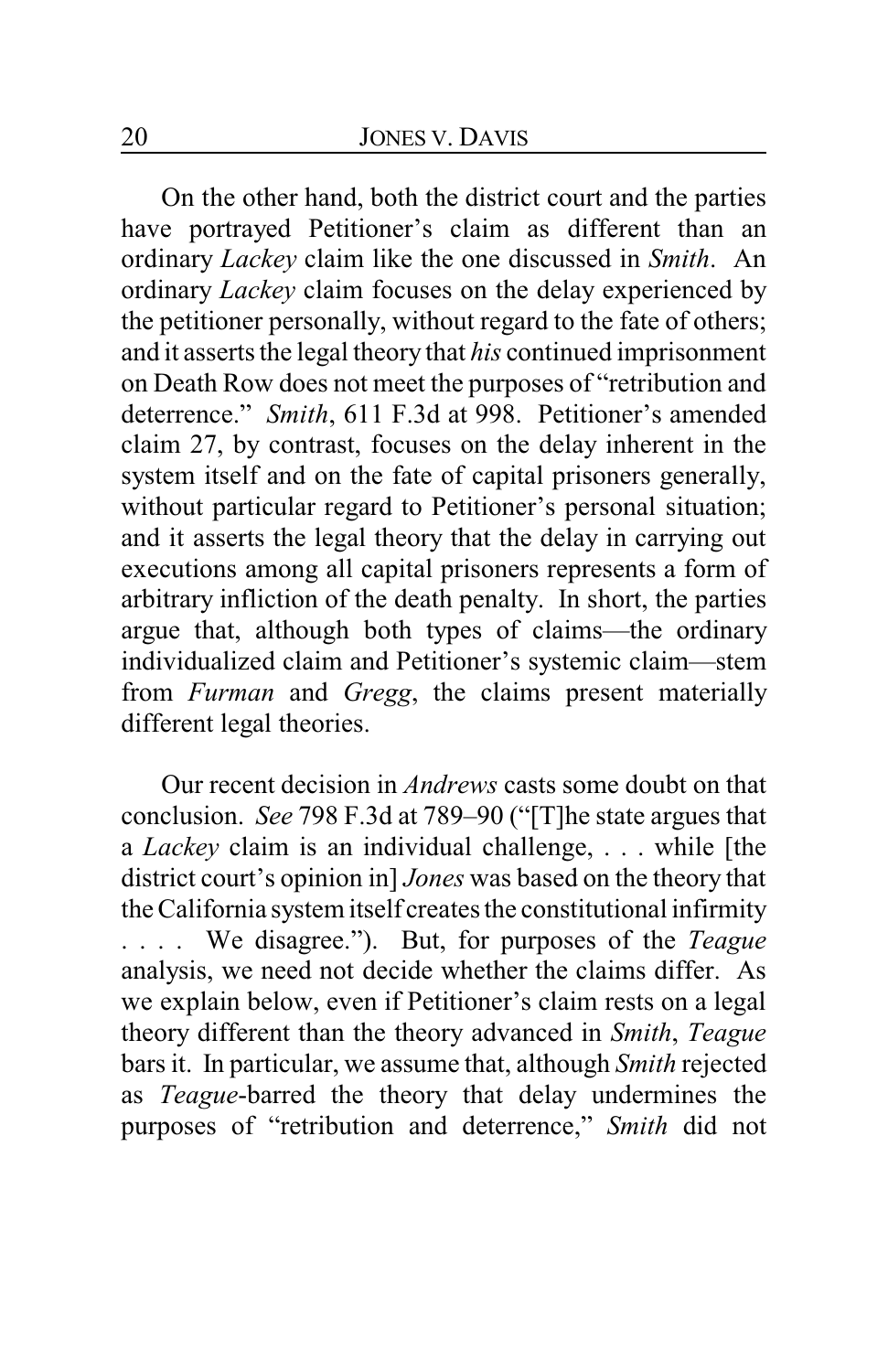On the other hand, both the district court and the parties have portrayed Petitioner's claim as different than an ordinary *Lackey* claim like the one discussed in *Smith*. An ordinary *Lackey* claim focuses on the delay experienced by the petitioner personally, without regard to the fate of others; and it asserts the legal theory that *his* continued imprisonment on Death Row does not meet the purposes of "retribution and deterrence." *Smith*, 611 F.3d at 998. Petitioner's amended claim 27, by contrast, focuses on the delay inherent in the system itself and on the fate of capital prisoners generally, without particular regard to Petitioner's personal situation; and it asserts the legal theory that the delay in carrying out executions among all capital prisoners represents a form of arbitrary infliction of the death penalty. In short, the parties argue that, although both types of claims—the ordinary individualized claim and Petitioner's systemic claim—stem from *Furman* and *Gregg*, the claims present materially different legal theories.

Our recent decision in *Andrews* casts some doubt on that conclusion. *See* 798 F.3d at 789–90 ("[T]he state argues that a *Lackey* claim is an individual challenge, . . . while [the district court's opinion in] *Jones* was based on the theory that the California system itself creates the constitutional infirmity . . . . We disagree."). But, for purposes of the *Teague* analysis, we need not decide whether the claims differ. As we explain below, even if Petitioner's claim rests on a legal theory different than the theory advanced in *Smith*, *Teague* bars it. In particular, we assume that, although *Smith* rejected as *Teague*-barred the theory that delay undermines the purposes of "retribution and deterrence," *Smith* did not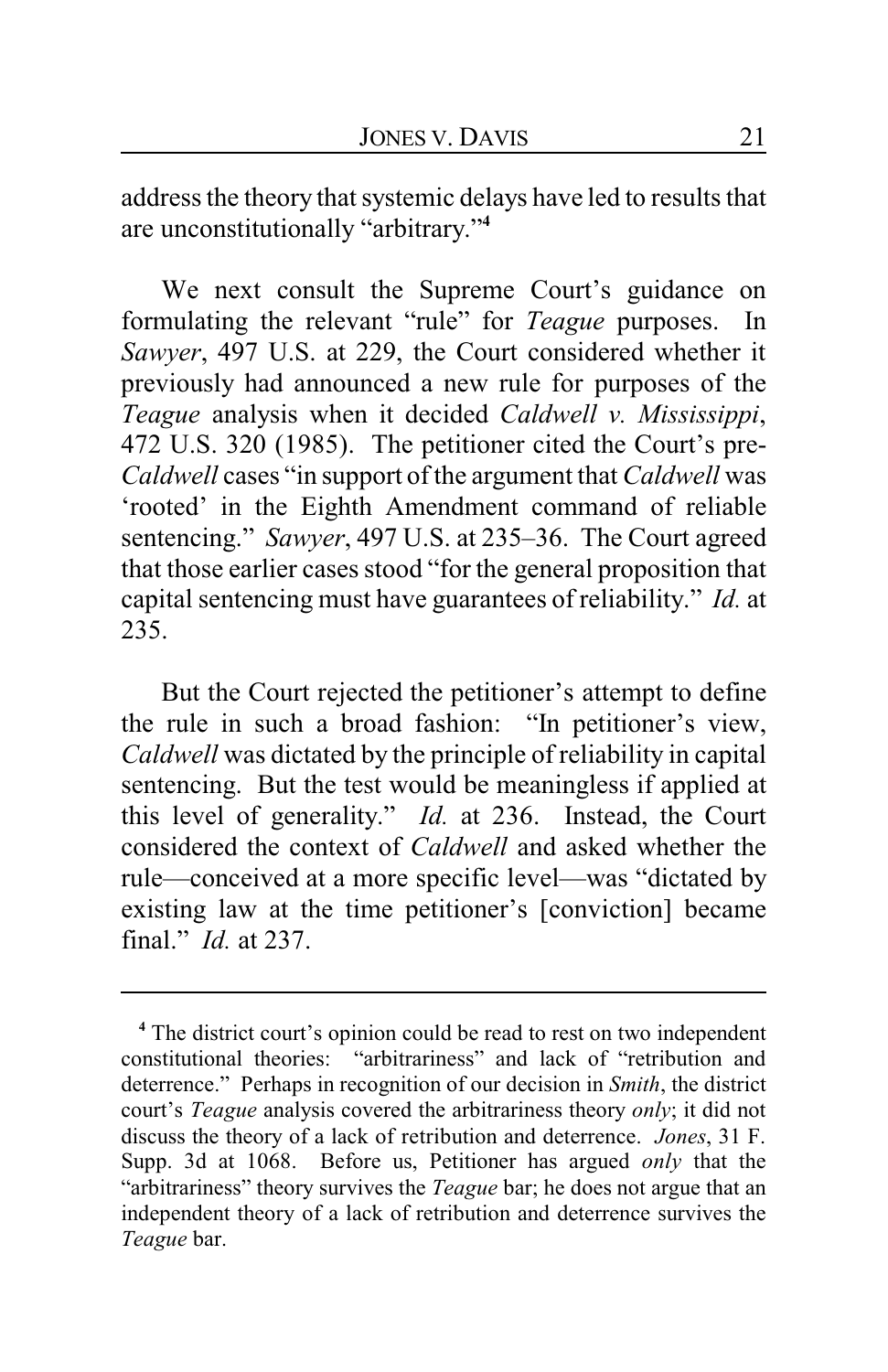address the theory that systemic delays have led to results that are unconstitutionally "arbitrary."**<sup>4</sup>**

We next consult the Supreme Court's guidance on formulating the relevant "rule" for *Teague* purposes. In *Sawyer*, 497 U.S. at 229, the Court considered whether it previously had announced a new rule for purposes of the *Teague* analysis when it decided *Caldwell v. Mississippi*, 472 U.S. 320 (1985). The petitioner cited the Court's pre-*Caldwell* cases "in support of the argument that *Caldwell* was 'rooted' in the Eighth Amendment command of reliable sentencing." *Sawyer*, 497 U.S. at 235–36. The Court agreed that those earlier cases stood "for the general proposition that capital sentencing must have guarantees of reliability." *Id.* at 235.

But the Court rejected the petitioner's attempt to define the rule in such a broad fashion: "In petitioner's view, *Caldwell* was dictated by the principle of reliability in capital sentencing. But the test would be meaningless if applied at this level of generality." *Id.* at 236. Instead, the Court considered the context of *Caldwell* and asked whether the rule—conceived at a more specific level—was "dictated by existing law at the time petitioner's [conviction] became final." *Id.* at 237.

**<sup>4</sup>** The district court's opinion could be read to rest on two independent constitutional theories: "arbitrariness" and lack of "retribution and deterrence." Perhaps in recognition of our decision in *Smith*, the district court's *Teague* analysis covered the arbitrariness theory *only*; it did not discuss the theory of a lack of retribution and deterrence. *Jones*, 31 F. Supp. 3d at 1068. Before us, Petitioner has argued *only* that the "arbitrariness" theory survives the *Teague* bar; he does not argue that an independent theory of a lack of retribution and deterrence survives the *Teague* bar.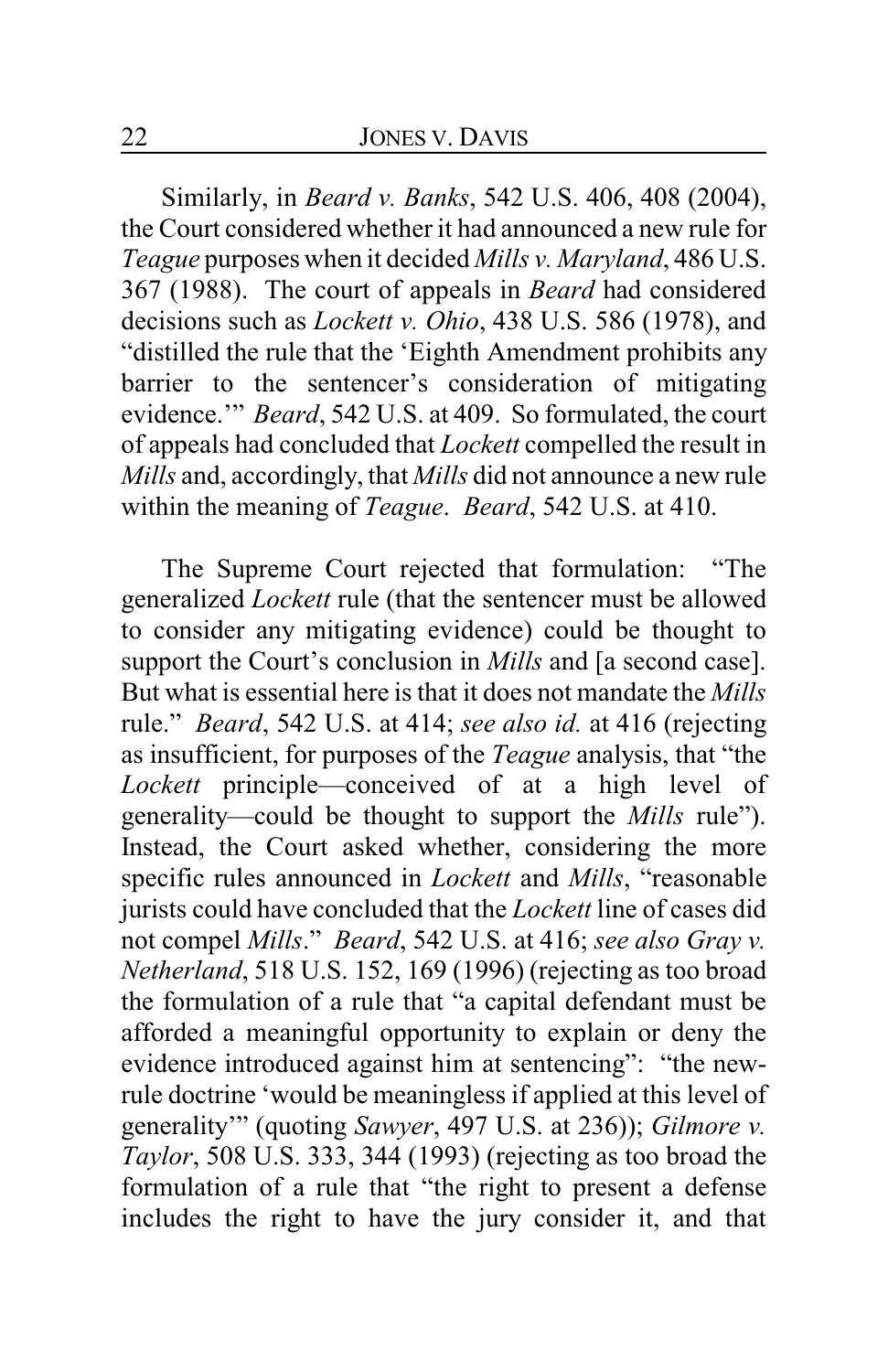Similarly, in *Beard v. Banks*, 542 U.S. 406, 408 (2004), the Court considered whether it had announced a new rule for *Teague* purposes when it decided *Mills v. Maryland*, 486 U.S. 367 (1988). The court of appeals in *Beard* had considered decisions such as *Lockett v. Ohio*, 438 U.S. 586 (1978), and "distilled the rule that the 'Eighth Amendment prohibits any barrier to the sentencer's consideration of mitigating evidence.'" *Beard*, 542 U.S. at 409. So formulated, the court of appeals had concluded that *Lockett* compelled the result in *Mills* and, accordingly, that *Mills* did not announce a new rule within the meaning of *Teague*. *Beard*, 542 U.S. at 410.

The Supreme Court rejected that formulation: "The generalized *Lockett* rule (that the sentencer must be allowed to consider any mitigating evidence) could be thought to support the Court's conclusion in *Mills* and [a second case]. But what is essential here is that it does not mandate the *Mills* rule." *Beard*, 542 U.S. at 414; *see also id.* at 416 (rejecting as insufficient, for purposes of the *Teague* analysis, that "the *Lockett* principle—conceived of at a high level of generality—could be thought to support the *Mills* rule"). Instead, the Court asked whether, considering the more specific rules announced in *Lockett* and *Mills*, "reasonable jurists could have concluded that the *Lockett* line of cases did not compel *Mills*." *Beard*, 542 U.S. at 416; *see also Gray v. Netherland*, 518 U.S. 152, 169 (1996) (rejecting as too broad the formulation of a rule that "a capital defendant must be afforded a meaningful opportunity to explain or deny the evidence introduced against him at sentencing": "the newrule doctrine 'would be meaningless if applied at this level of generality'" (quoting *Sawyer*, 497 U.S. at 236)); *Gilmore v. Taylor*, 508 U.S. 333, 344 (1993) (rejecting as too broad the formulation of a rule that "the right to present a defense includes the right to have the jury consider it, and that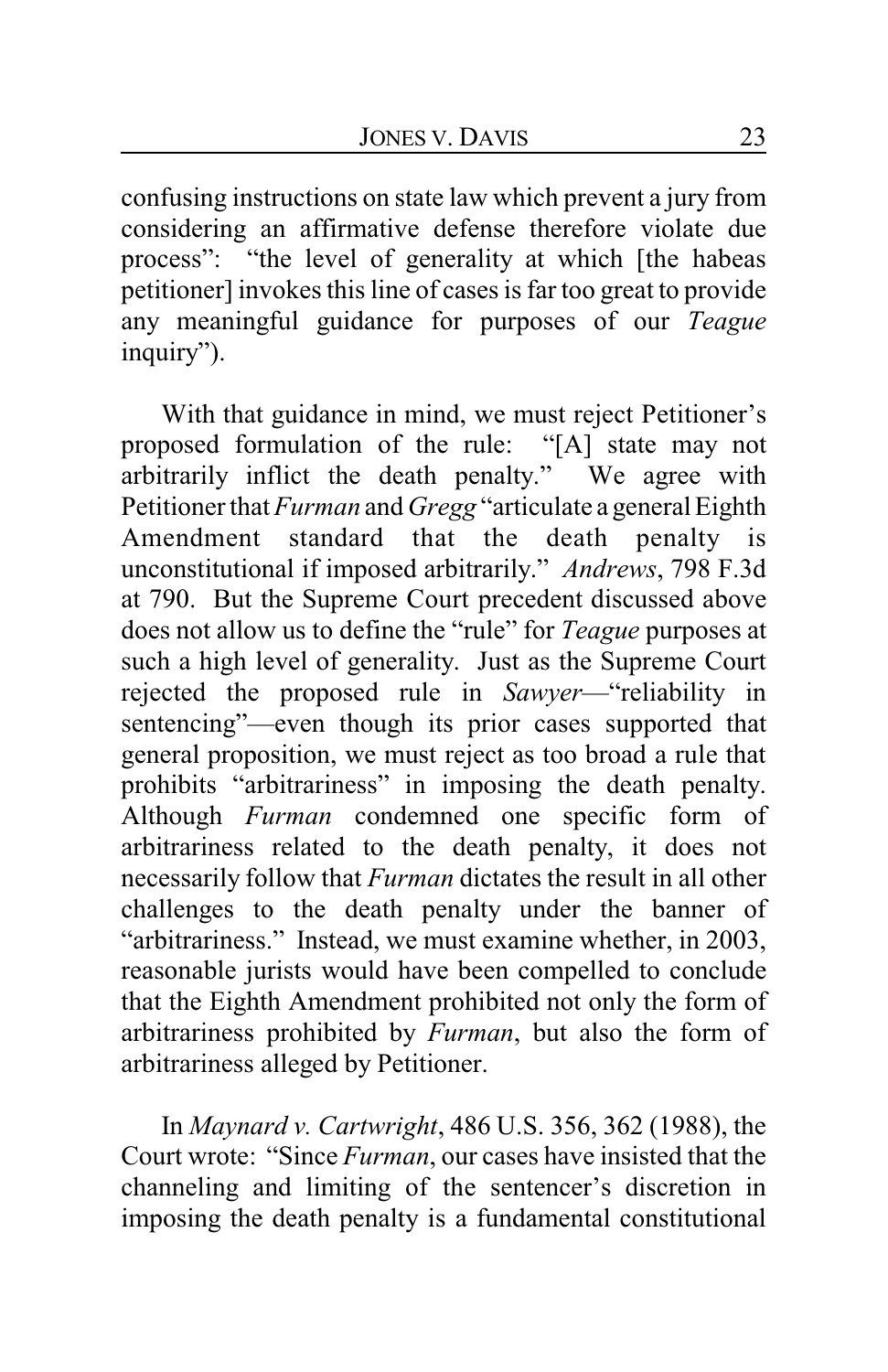confusing instructions on state law which prevent a jury from considering an affirmative defense therefore violate due process": "the level of generality at which [the habeas petitioner] invokes this line of cases is far too great to provide any meaningful guidance for purposes of our *Teague* inquiry").

With that guidance in mind, we must reject Petitioner's proposed formulation of the rule: "[A] state may not arbitrarily inflict the death penalty." We agree with Petitioner that *Furman* and *Gregg* "articulate a general Eighth Amendment standard that the death penalty is unconstitutional if imposed arbitrarily." *Andrews*, 798 F.3d at 790. But the Supreme Court precedent discussed above does not allow us to define the "rule" for *Teague* purposes at such a high level of generality. Just as the Supreme Court rejected the proposed rule in *Sawyer*—"reliability in sentencing"—even though its prior cases supported that general proposition, we must reject as too broad a rule that prohibits "arbitrariness" in imposing the death penalty. Although *Furman* condemned one specific form of arbitrariness related to the death penalty, it does not necessarily follow that *Furman* dictates the result in all other challenges to the death penalty under the banner of "arbitrariness." Instead, we must examine whether, in 2003, reasonable jurists would have been compelled to conclude that the Eighth Amendment prohibited not only the form of arbitrariness prohibited by *Furman*, but also the form of arbitrariness alleged by Petitioner.

In *Maynard v. Cartwright*, 486 U.S. 356, 362 (1988), the Court wrote: "Since *Furman*, our cases have insisted that the channeling and limiting of the sentencer's discretion in imposing the death penalty is a fundamental constitutional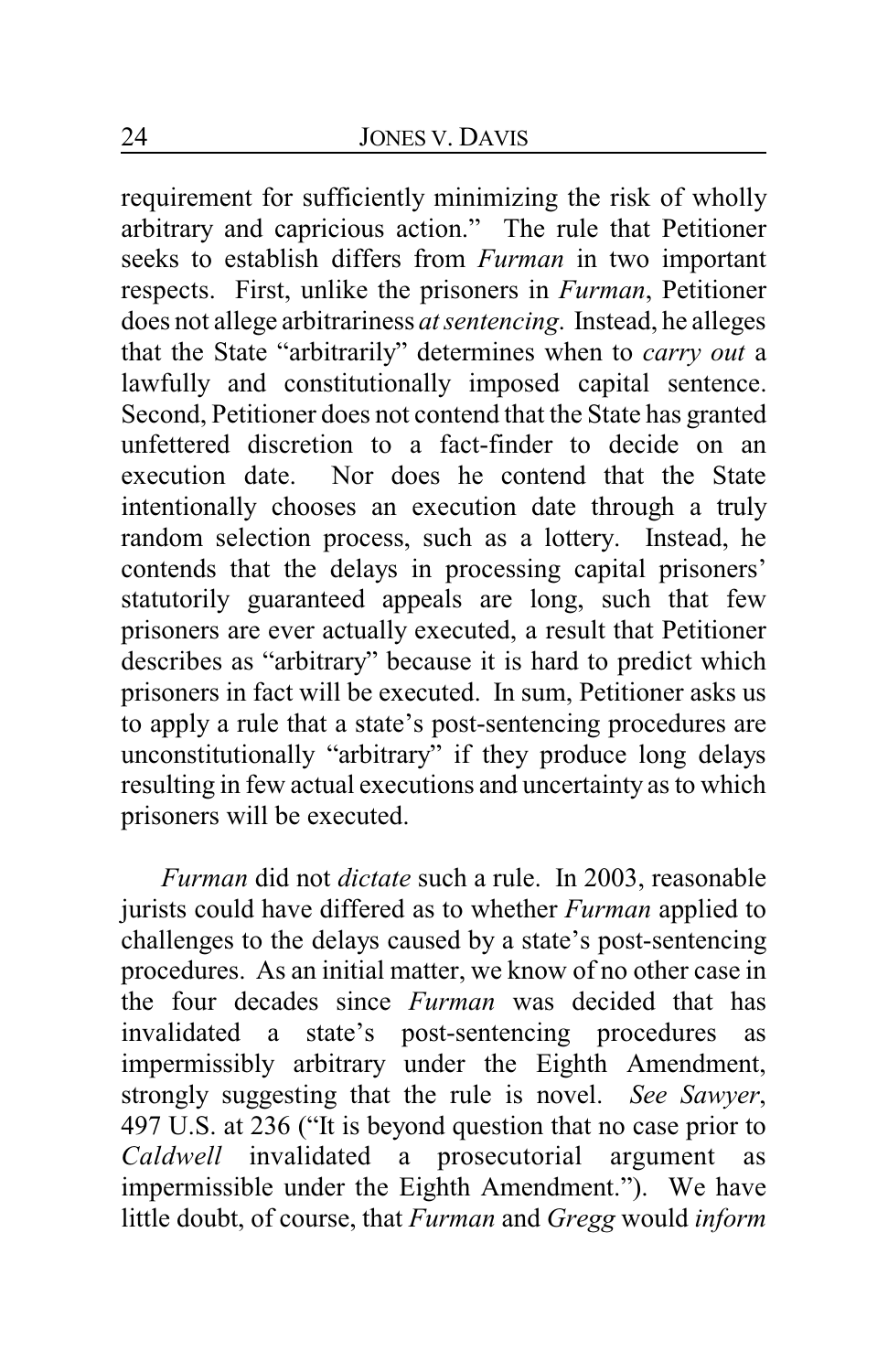requirement for sufficiently minimizing the risk of wholly arbitrary and capricious action." The rule that Petitioner seeks to establish differs from *Furman* in two important respects. First, unlike the prisoners in *Furman*, Petitioner does not allege arbitrariness *at sentencing*. Instead, he alleges that the State "arbitrarily" determines when to *carry out* a lawfully and constitutionally imposed capital sentence. Second, Petitioner does not contend that the State has granted unfettered discretion to a fact-finder to decide on an execution date. Nor does he contend that the State intentionally chooses an execution date through a truly random selection process, such as a lottery. Instead, he contends that the delays in processing capital prisoners' statutorily guaranteed appeals are long, such that few prisoners are ever actually executed, a result that Petitioner describes as "arbitrary" because it is hard to predict which prisoners in fact will be executed. In sum, Petitioner asks us to apply a rule that a state's post-sentencing procedures are unconstitutionally "arbitrary" if they produce long delays resulting in few actual executions and uncertainty as to which prisoners will be executed.

*Furman* did not *dictate* such a rule. In 2003, reasonable jurists could have differed as to whether *Furman* applied to challenges to the delays caused by a state's post-sentencing procedures. As an initial matter, we know of no other case in the four decades since *Furman* was decided that has invalidated a state's post-sentencing procedures as impermissibly arbitrary under the Eighth Amendment, strongly suggesting that the rule is novel. *See Sawyer*, 497 U.S. at 236 ("It is beyond question that no case prior to *Caldwell* invalidated a prosecutorial argument as impermissible under the Eighth Amendment."). We have little doubt, of course, that *Furman* and *Gregg* would *inform*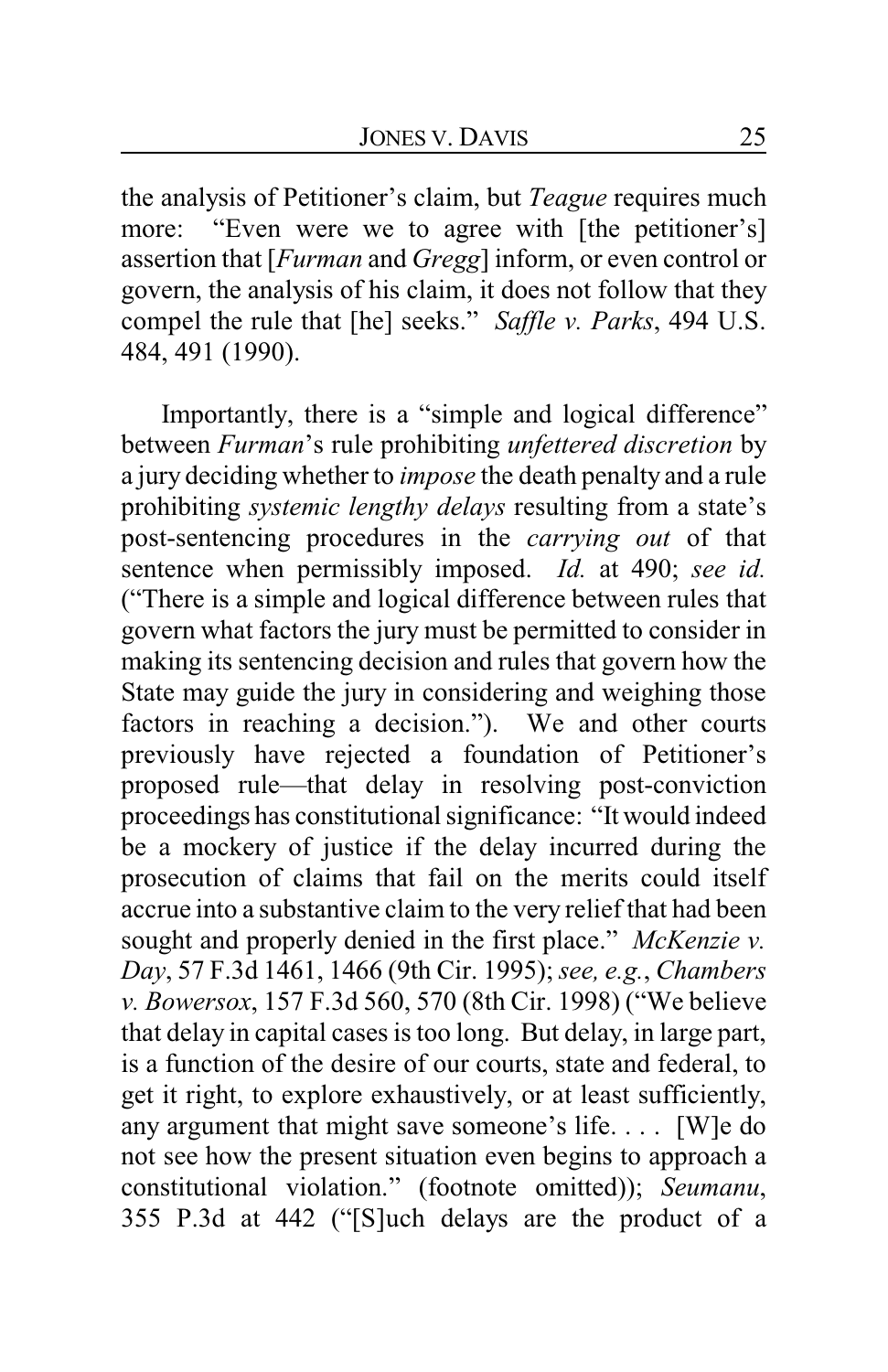the analysis of Petitioner's claim, but *Teague* requires much more: "Even were we to agree with [the petitioner's] assertion that [*Furman* and *Gregg*] inform, or even control or govern, the analysis of his claim, it does not follow that they compel the rule that [he] seeks." *Saffle v. Parks*, 494 U.S. 484, 491 (1990).

Importantly, there is a "simple and logical difference" between *Furman*'s rule prohibiting *unfettered discretion* by a jury deciding whether to *impose* the death penalty and a rule prohibiting *systemic lengthy delays* resulting from a state's post-sentencing procedures in the *carrying out* of that sentence when permissibly imposed. *Id.* at 490; *see id.* ("There is a simple and logical difference between rules that govern what factors the jury must be permitted to consider in making its sentencing decision and rules that govern how the State may guide the jury in considering and weighing those factors in reaching a decision."). We and other courts previously have rejected a foundation of Petitioner's proposed rule—that delay in resolving post-conviction proceedings has constitutional significance: "It would indeed be a mockery of justice if the delay incurred during the prosecution of claims that fail on the merits could itself accrue into a substantive claim to the very relief that had been sought and properly denied in the first place." *McKenzie v. Day*, 57 F.3d 1461, 1466 (9th Cir. 1995); *see, e.g.*, *Chambers v. Bowersox*, 157 F.3d 560, 570 (8th Cir. 1998) ("We believe that delay in capital cases is too long. But delay, in large part, is a function of the desire of our courts, state and federal, to get it right, to explore exhaustively, or at least sufficiently, any argument that might save someone's life. . . . [W]e do not see how the present situation even begins to approach a constitutional violation." (footnote omitted)); *Seumanu*, 355 P.3d at 442 ("[S]uch delays are the product of a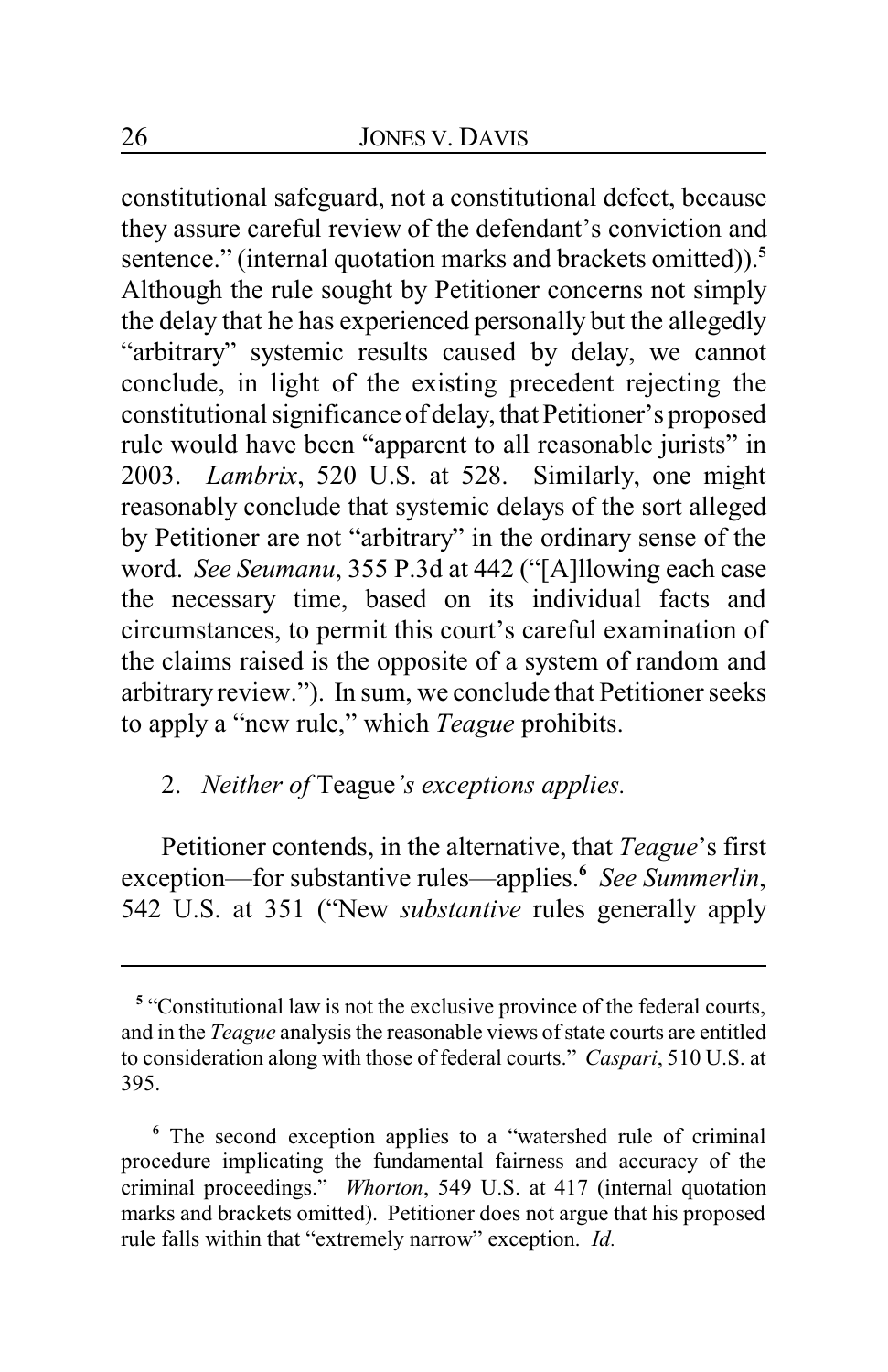constitutional safeguard, not a constitutional defect, because they assure careful review of the defendant's conviction and sentence." (internal quotation marks and brackets omitted)).**<sup>5</sup>** Although the rule sought by Petitioner concerns not simply the delay that he has experienced personally but the allegedly "arbitrary" systemic results caused by delay, we cannot conclude, in light of the existing precedent rejecting the constitutional significance of delay, that Petitioner's proposed rule would have been "apparent to all reasonable jurists" in 2003. *Lambrix*, 520 U.S. at 528. Similarly, one might reasonably conclude that systemic delays of the sort alleged by Petitioner are not "arbitrary" in the ordinary sense of the word. *See Seumanu*, 355 P.3d at 442 ("[A]llowing each case the necessary time, based on its individual facts and circumstances, to permit this court's careful examination of the claims raised is the opposite of a system of random and arbitrary review."). In sum, we conclude that Petitioner seeks to apply a "new rule," which *Teague* prohibits.

## 2. *Neither of* Teague*'s exceptions applies.*

Petitioner contends, in the alternative, that *Teague*'s first exception—for substantive rules—applies.**<sup>6</sup>** *See Summerlin*, 542 U.S. at 351 ("New *substantive* rules generally apply

<sup>&</sup>lt;sup>5</sup> "Constitutional law is not the exclusive province of the federal courts, and in the *Teague* analysis the reasonable views of state courts are entitled to consideration along with those of federal courts." *Caspari*, 510 U.S. at 395.

**<sup>6</sup>** The second exception applies to a "watershed rule of criminal procedure implicating the fundamental fairness and accuracy of the criminal proceedings." *Whorton*, 549 U.S. at 417 (internal quotation marks and brackets omitted). Petitioner does not argue that his proposed rule falls within that "extremely narrow" exception. *Id.*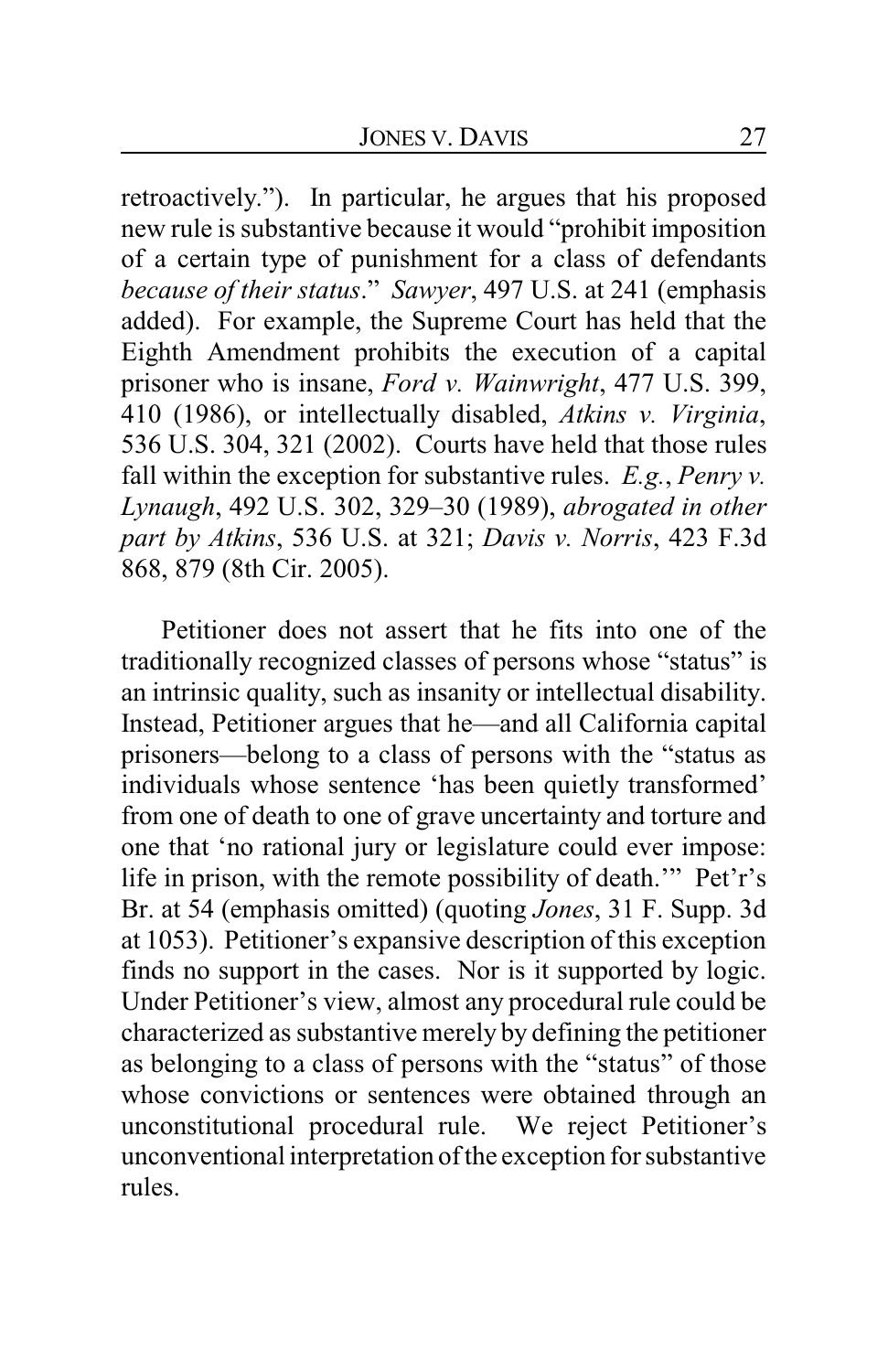retroactively."). In particular, he argues that his proposed new rule is substantive because it would "prohibit imposition of a certain type of punishment for a class of defendants *because of their status*." *Sawyer*, 497 U.S. at 241 (emphasis added). For example, the Supreme Court has held that the Eighth Amendment prohibits the execution of a capital prisoner who is insane, *Ford v. Wainwright*, 477 U.S. 399, 410 (1986), or intellectually disabled, *Atkins v. Virginia*, 536 U.S. 304, 321 (2002). Courts have held that those rules fall within the exception for substantive rules. *E.g.*, *Penry v. Lynaugh*, 492 U.S. 302, 329–30 (1989), *abrogated in other part by Atkins*, 536 U.S. at 321; *Davis v. Norris*, 423 F.3d 868, 879 (8th Cir. 2005).

Petitioner does not assert that he fits into one of the traditionally recognized classes of persons whose "status" is an intrinsic quality, such as insanity or intellectual disability. Instead, Petitioner argues that he—and all California capital prisoners—belong to a class of persons with the "status as individuals whose sentence 'has been quietly transformed' from one of death to one of grave uncertainty and torture and one that 'no rational jury or legislature could ever impose: life in prison, with the remote possibility of death.'" Pet'r's Br. at 54 (emphasis omitted) (quoting *Jones*, 31 F. Supp. 3d at 1053). Petitioner's expansive description of this exception finds no support in the cases. Nor is it supported by logic. Under Petitioner's view, almost any procedural rule could be characterized as substantive merely by defining the petitioner as belonging to a class of persons with the "status" of those whose convictions or sentences were obtained through an unconstitutional procedural rule. We reject Petitioner's unconventional interpretation of the exception for substantive rules.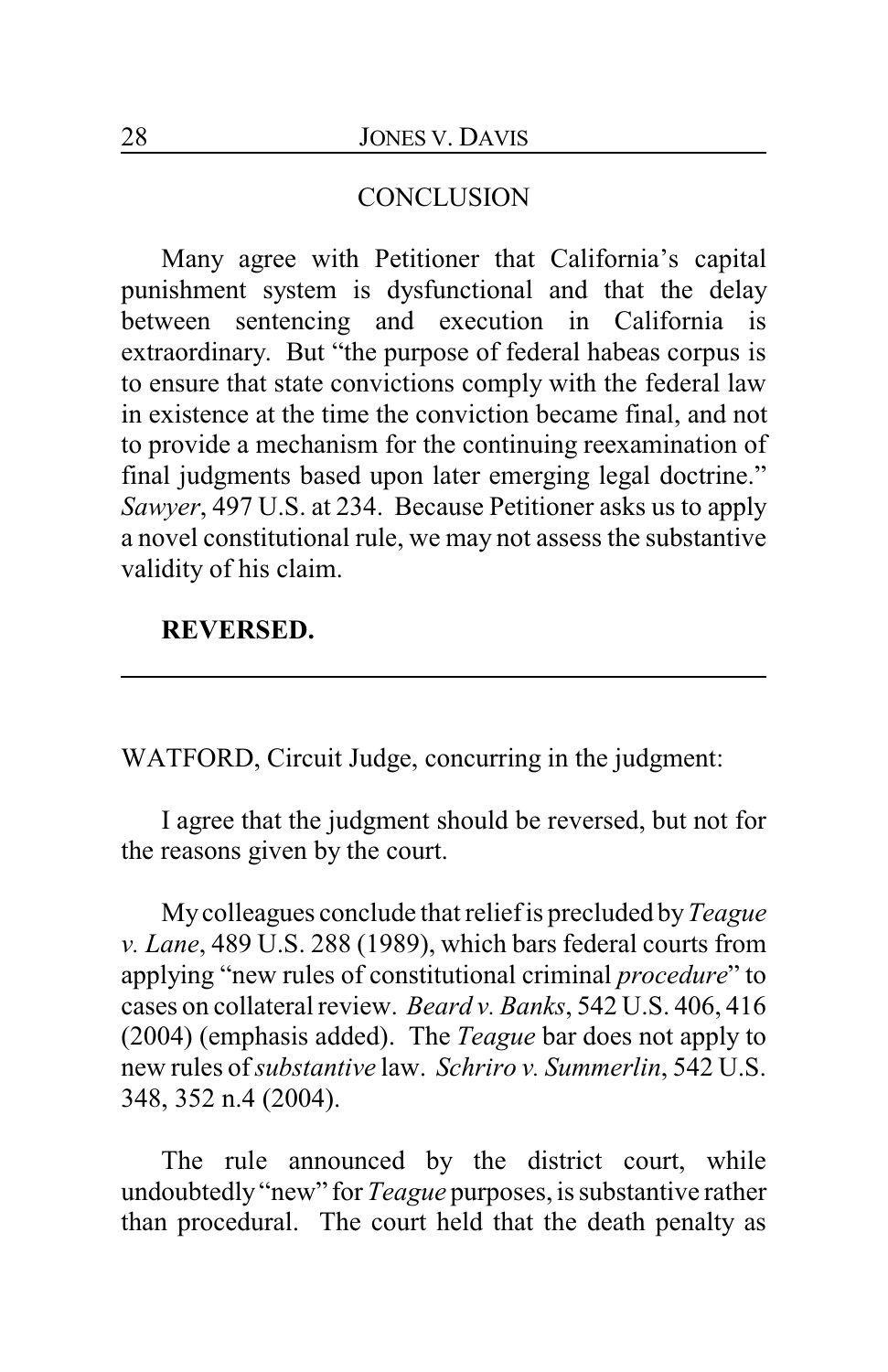### **CONCLUSION**

Many agree with Petitioner that California's capital punishment system is dysfunctional and that the delay between sentencing and execution in California is extraordinary. But "the purpose of federal habeas corpus is to ensure that state convictions comply with the federal law in existence at the time the conviction became final, and not to provide a mechanism for the continuing reexamination of final judgments based upon later emerging legal doctrine." *Sawyer*, 497 U.S. at 234. Because Petitioner asks us to apply a novel constitutional rule, we may not assess the substantive validity of his claim.

## **REVERSED.**

WATFORD, Circuit Judge, concurring in the judgment:

I agree that the judgment should be reversed, but not for the reasons given by the court.

Mycolleagues conclude that relief is precluded by*Teague v. Lane*, 489 U.S. 288 (1989), which bars federal courts from applying "new rules of constitutional criminal *procedure*" to cases on collateral review. *Beard v. Banks*, 542 U.S. 406, 416 (2004) (emphasis added). The *Teague* bar does not apply to new rules of *substantive* law. *Schriro v. Summerlin*, 542 U.S. 348, 352 n.4 (2004).

The rule announced by the district court, while undoubtedly "new" for *Teague* purposes, is substantive rather than procedural. The court held that the death penalty as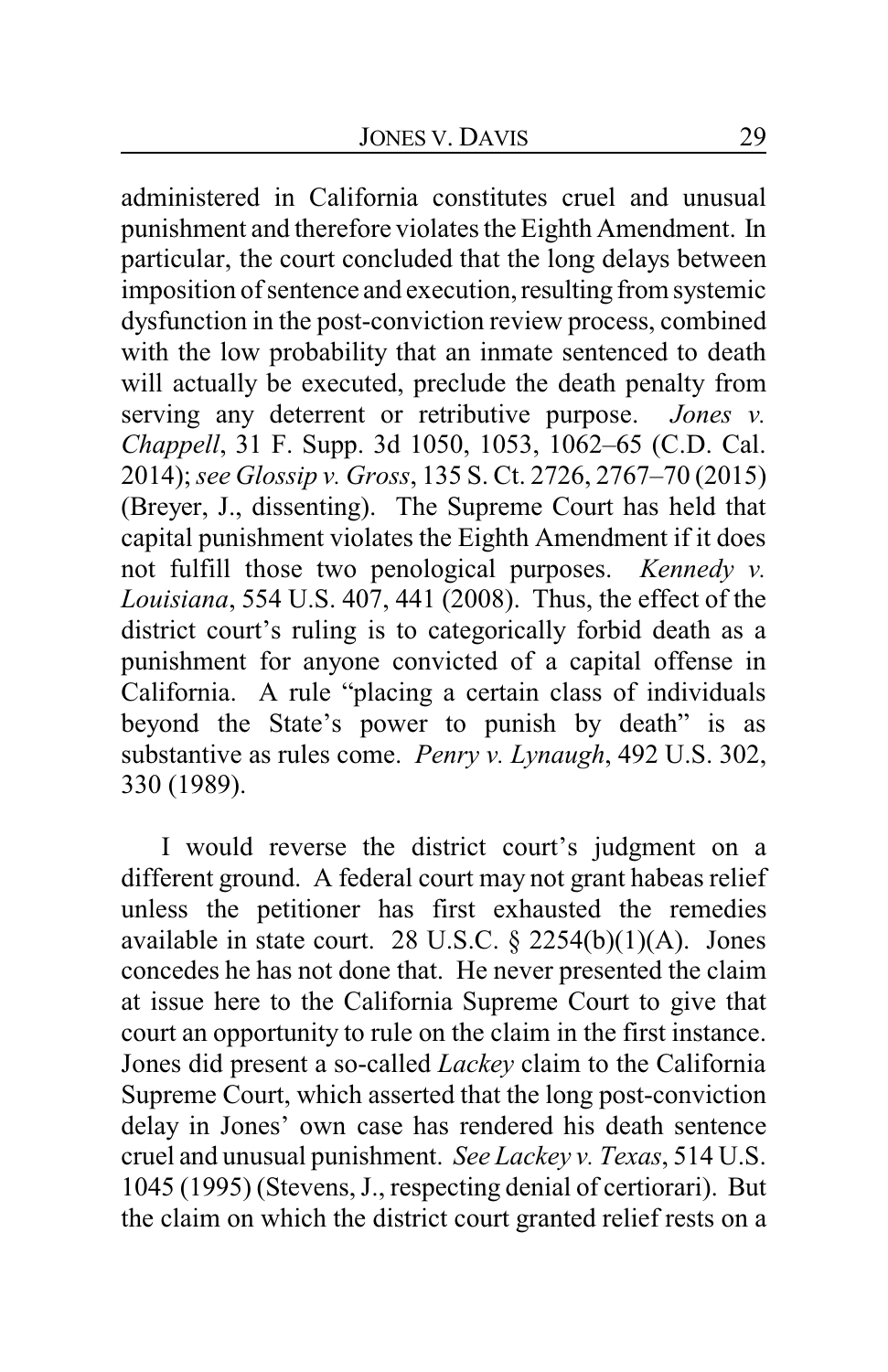administered in California constitutes cruel and unusual punishment and therefore violates the Eighth Amendment. In particular, the court concluded that the long delays between imposition of sentence and execution, resulting from systemic dysfunction in the post-conviction review process, combined with the low probability that an inmate sentenced to death will actually be executed, preclude the death penalty from serving any deterrent or retributive purpose. *Jones v. Chappell*, 31 F. Supp. 3d 1050, 1053, 1062–65 (C.D. Cal. 2014); *see Glossip v. Gross*, 135 S. Ct. 2726, 2767–70 (2015) (Breyer, J., dissenting). The Supreme Court has held that capital punishment violates the Eighth Amendment if it does not fulfill those two penological purposes. *Kennedy v. Louisiana*, 554 U.S. 407, 441 (2008). Thus, the effect of the district court's ruling is to categorically forbid death as a punishment for anyone convicted of a capital offense in California. A rule "placing a certain class of individuals beyond the State's power to punish by death" is as substantive as rules come. *Penry v. Lynaugh*, 492 U.S. 302, 330 (1989).

I would reverse the district court's judgment on a different ground. A federal court may not grant habeas relief unless the petitioner has first exhausted the remedies available in state court. 28 U.S.C.  $\S$  2254(b)(1)(A). Jones concedes he has not done that. He never presented the claim at issue here to the California Supreme Court to give that court an opportunity to rule on the claim in the first instance. Jones did present a so-called *Lackey* claim to the California Supreme Court, which asserted that the long post-conviction delay in Jones' own case has rendered his death sentence cruel and unusual punishment. *See Lackey v. Texas*, 514 U.S. 1045 (1995) (Stevens, J., respecting denial of certiorari). But the claim on which the district court granted relief rests on a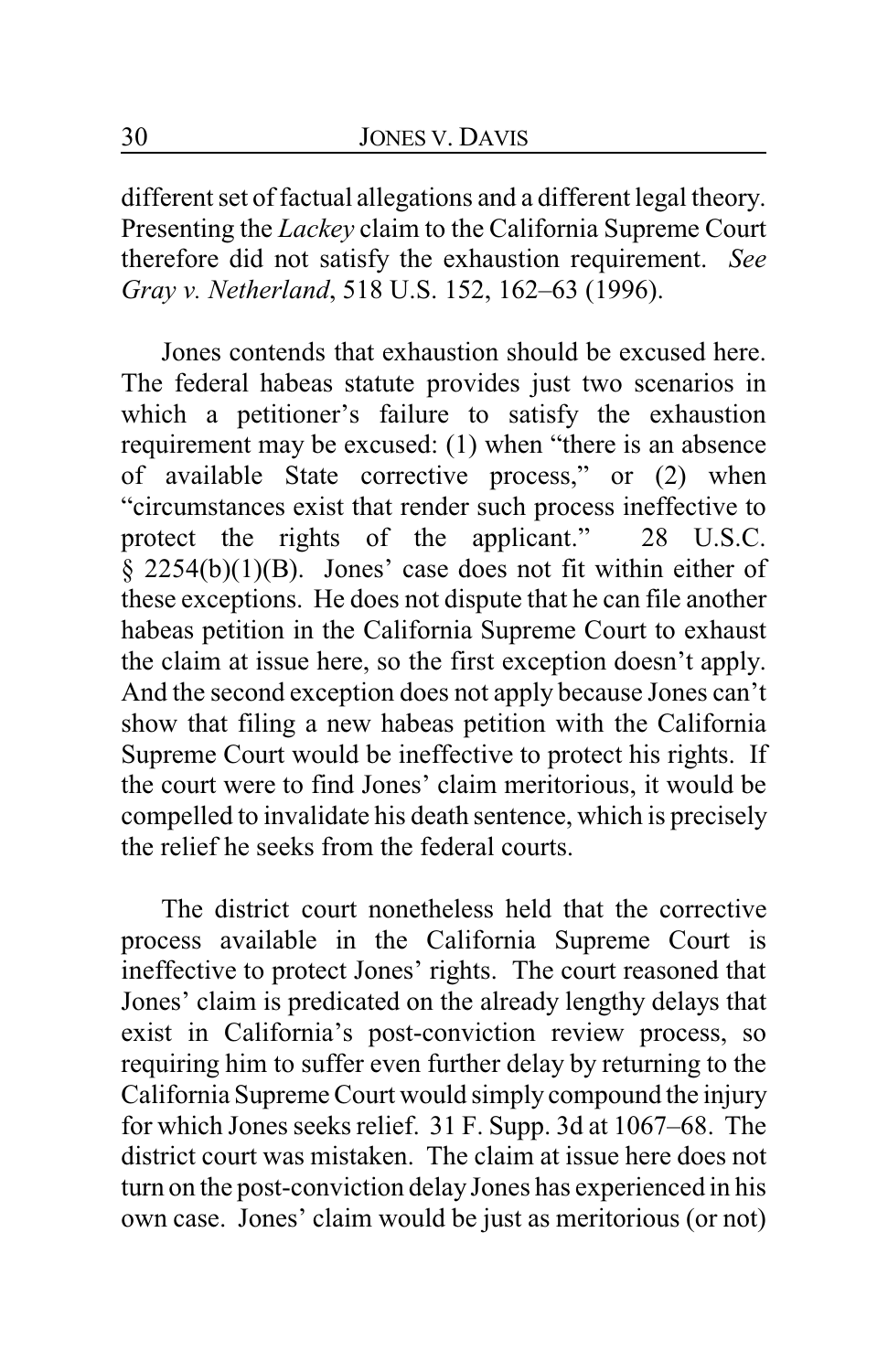different set of factual allegations and a different legal theory. Presenting the *Lackey* claim to the California Supreme Court therefore did not satisfy the exhaustion requirement. *See Gray v. Netherland*, 518 U.S. 152, 162–63 (1996).

Jones contends that exhaustion should be excused here. The federal habeas statute provides just two scenarios in which a petitioner's failure to satisfy the exhaustion requirement may be excused: (1) when "there is an absence of available State corrective process," or (2) when "circumstances exist that render such process ineffective to protect the rights of the applicant." 28 U.S.C. protect the rights of the applicant." 28 U.S.C.  $\overline{\S}$  2254(b)(1)(B). Jones' case does not fit within either of these exceptions. He does not dispute that he can file another habeas petition in the California Supreme Court to exhaust the claim at issue here, so the first exception doesn't apply. And the second exception does not apply because Jones can't show that filing a new habeas petition with the California Supreme Court would be ineffective to protect his rights. If the court were to find Jones' claim meritorious, it would be compelled to invalidate his death sentence, which is precisely the relief he seeks from the federal courts.

The district court nonetheless held that the corrective process available in the California Supreme Court is ineffective to protect Jones' rights. The court reasoned that Jones' claim is predicated on the already lengthy delays that exist in California's post-conviction review process, so requiring him to suffer even further delay by returning to the California Supreme Court would simply compound the injury for which Jones seeks relief. 31 F. Supp. 3d at 1067–68. The district court was mistaken. The claim at issue here does not turn on the post-conviction delay Jones has experienced in his own case. Jones' claim would be just as meritorious (or not)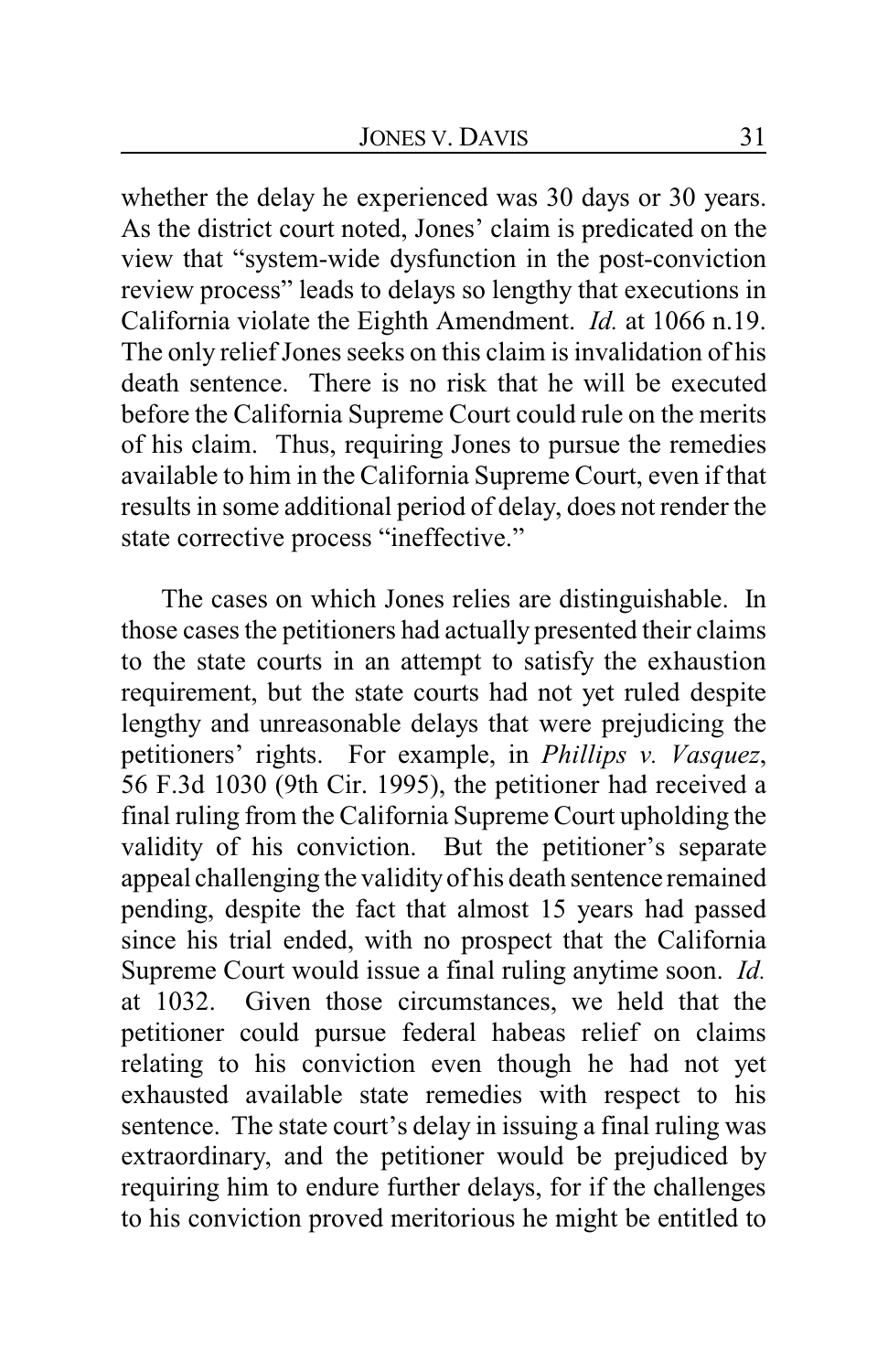whether the delay he experienced was 30 days or 30 years. As the district court noted, Jones' claim is predicated on the view that "system-wide dysfunction in the post-conviction review process" leads to delays so lengthy that executions in California violate the Eighth Amendment. *Id.* at 1066 n.19. The only relief Jones seeks on this claim is invalidation of his death sentence. There is no risk that he will be executed before the California Supreme Court could rule on the merits of his claim. Thus, requiring Jones to pursue the remedies available to him in the California Supreme Court, even if that results in some additional period of delay, does not render the state corrective process "ineffective."

The cases on which Jones relies are distinguishable. In those cases the petitioners had actually presented their claims to the state courts in an attempt to satisfy the exhaustion requirement, but the state courts had not yet ruled despite lengthy and unreasonable delays that were prejudicing the petitioners' rights. For example, in *Phillips v. Vasquez*, 56 F.3d 1030 (9th Cir. 1995), the petitioner had received a final ruling from the California Supreme Court upholding the validity of his conviction. But the petitioner's separate appeal challenging the validityof his death sentence remained pending, despite the fact that almost 15 years had passed since his trial ended, with no prospect that the California Supreme Court would issue a final ruling anytime soon. *Id.* at 1032. Given those circumstances, we held that the petitioner could pursue federal habeas relief on claims relating to his conviction even though he had not yet exhausted available state remedies with respect to his sentence. The state court's delay in issuing a final ruling was extraordinary, and the petitioner would be prejudiced by requiring him to endure further delays, for if the challenges to his conviction proved meritorious he might be entitled to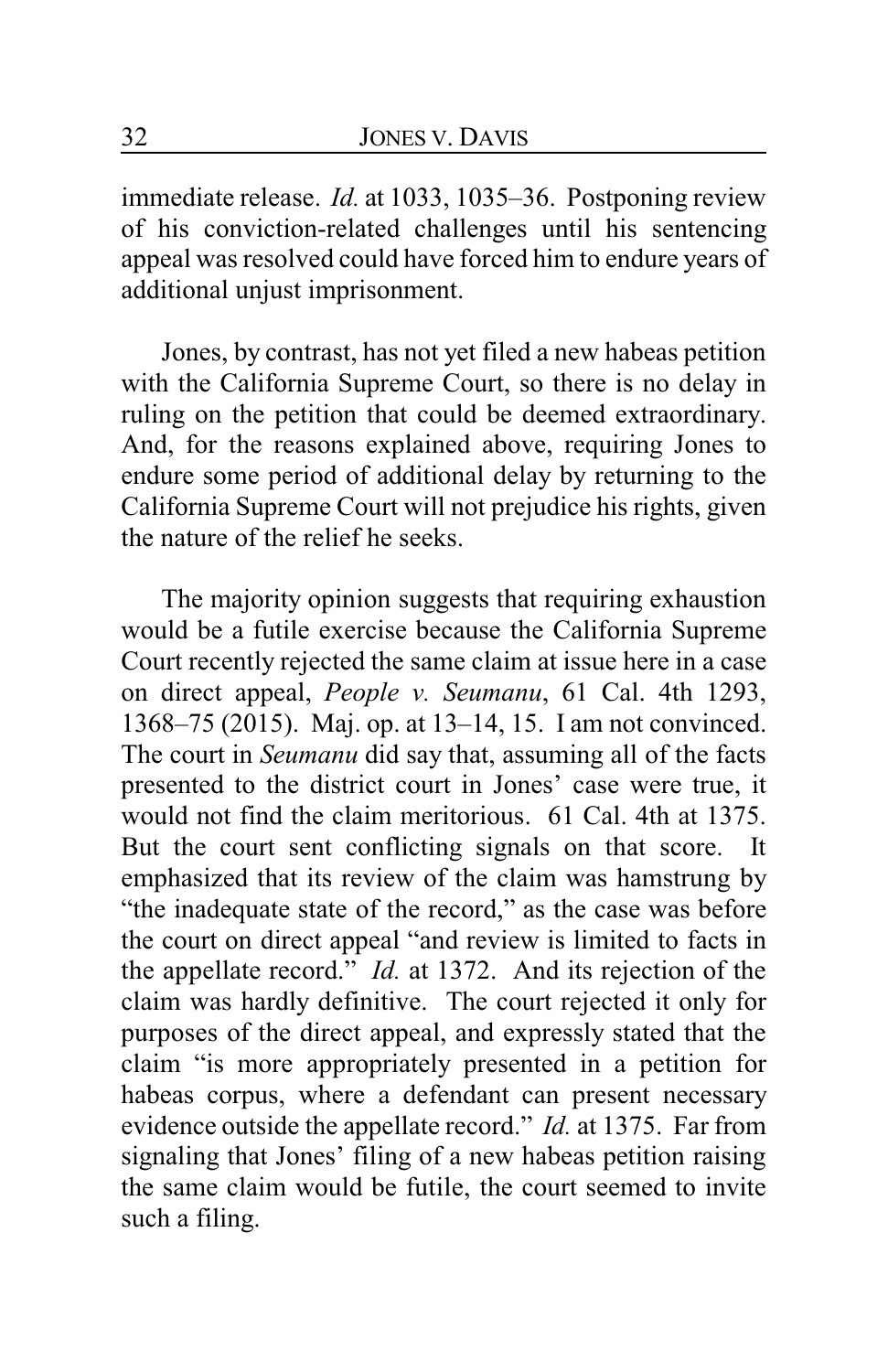immediate release. *Id.* at 1033, 1035–36. Postponing review of his conviction-related challenges until his sentencing appeal was resolved could have forced him to endure years of additional unjust imprisonment.

Jones, by contrast, has not yet filed a new habeas petition with the California Supreme Court, so there is no delay in ruling on the petition that could be deemed extraordinary. And, for the reasons explained above, requiring Jones to endure some period of additional delay by returning to the California Supreme Court will not prejudice his rights, given the nature of the relief he seeks.

The majority opinion suggests that requiring exhaustion would be a futile exercise because the California Supreme Court recently rejected the same claim at issue here in a case on direct appeal, *People v. Seumanu*, 61 Cal. 4th 1293, 1368–75 (2015). Maj. op. at 13–14, 15. I am not convinced. The court in *Seumanu* did say that, assuming all of the facts presented to the district court in Jones' case were true, it would not find the claim meritorious. 61 Cal. 4th at 1375. But the court sent conflicting signals on that score. It emphasized that its review of the claim was hamstrung by "the inadequate state of the record," as the case was before the court on direct appeal "and review is limited to facts in the appellate record." *Id.* at 1372. And its rejection of the claim was hardly definitive. The court rejected it only for purposes of the direct appeal, and expressly stated that the claim "is more appropriately presented in a petition for habeas corpus, where a defendant can present necessary evidence outside the appellate record." *Id.* at 1375. Far from signaling that Jones' filing of a new habeas petition raising the same claim would be futile, the court seemed to invite such a filing.